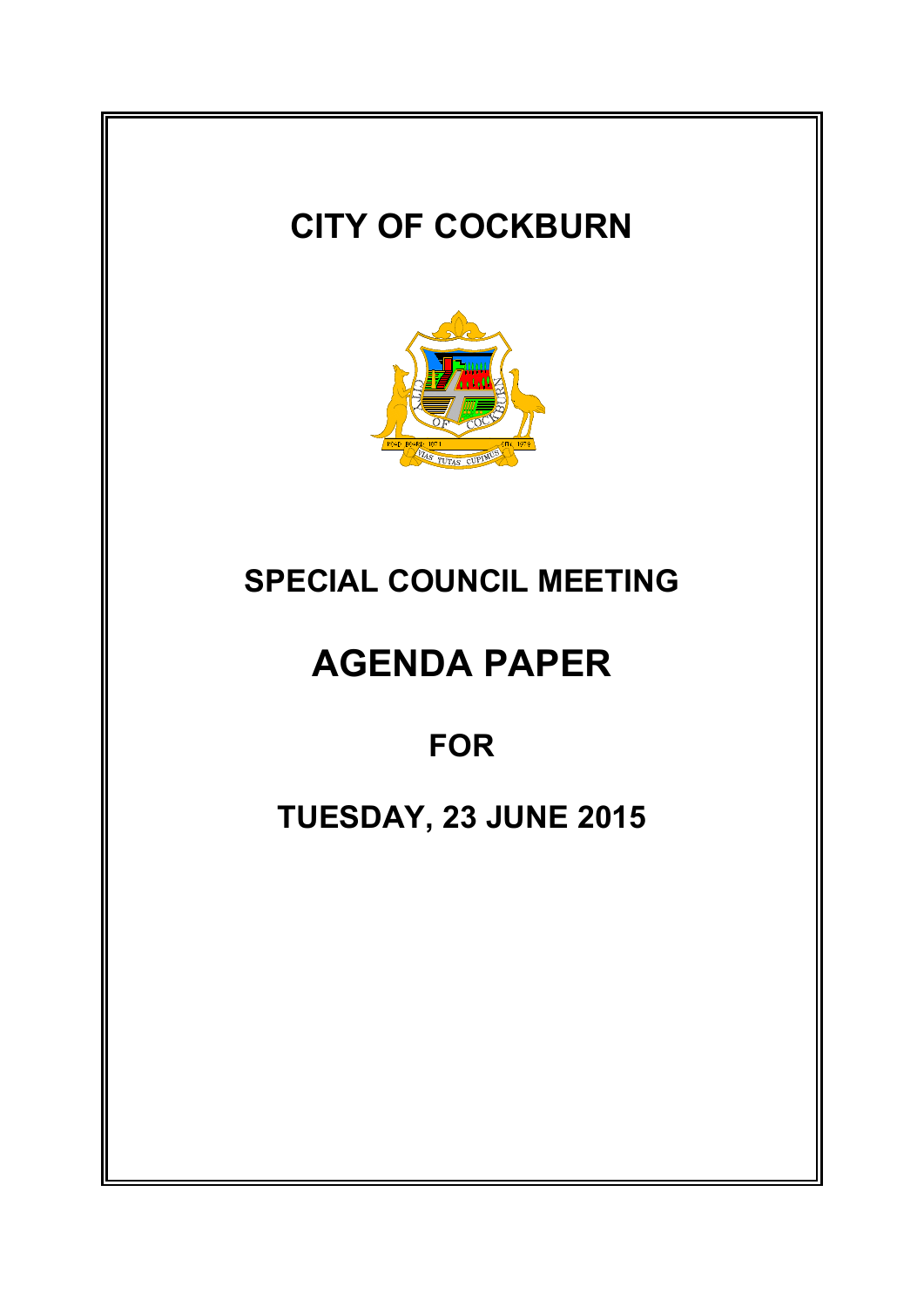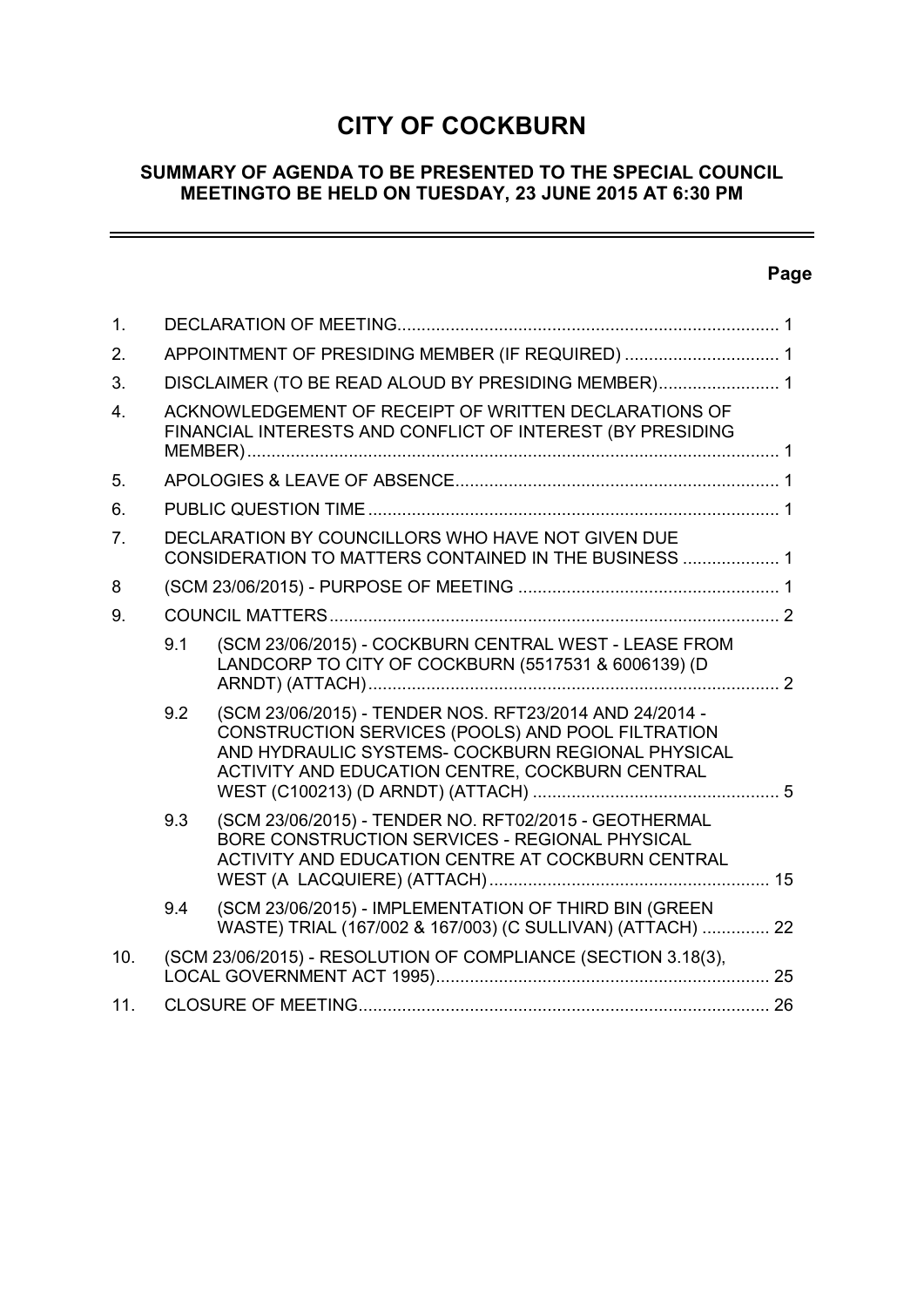# **CITY OF COCKBURN**

# **SUMMARY OF AGENDA TO BE PRESENTED TO THE SPECIAL COUNCIL MEETINGTO BE HELD ON TUESDAY, 23 JUNE 2015 AT 6:30 PM**

# **Page**

÷,

| 1.             |                                                                                                                     |                                                                                                                                                                                                                      |  |
|----------------|---------------------------------------------------------------------------------------------------------------------|----------------------------------------------------------------------------------------------------------------------------------------------------------------------------------------------------------------------|--|
| 2.             | APPOINTMENT OF PRESIDING MEMBER (IF REQUIRED)  1                                                                    |                                                                                                                                                                                                                      |  |
| 3.             | DISCLAIMER (TO BE READ ALOUD BY PRESIDING MEMBER) 1                                                                 |                                                                                                                                                                                                                      |  |
| 4.             | ACKNOWLEDGEMENT OF RECEIPT OF WRITTEN DECLARATIONS OF<br>FINANCIAL INTERESTS AND CONFLICT OF INTEREST (BY PRESIDING |                                                                                                                                                                                                                      |  |
| 5.             |                                                                                                                     |                                                                                                                                                                                                                      |  |
| 6.             |                                                                                                                     |                                                                                                                                                                                                                      |  |
| 7 <sub>1</sub> |                                                                                                                     | DECLARATION BY COUNCILLORS WHO HAVE NOT GIVEN DUE<br>CONSIDERATION TO MATTERS CONTAINED IN THE BUSINESS  1                                                                                                           |  |
| 8              |                                                                                                                     |                                                                                                                                                                                                                      |  |
| 9.             |                                                                                                                     |                                                                                                                                                                                                                      |  |
|                | 9.1                                                                                                                 | (SCM 23/06/2015) - COCKBURN CENTRAL WEST - LEASE FROM<br>LANDCORP TO CITY OF COCKBURN (5517531 & 6006139) (D                                                                                                         |  |
|                | 9.2                                                                                                                 | (SCM 23/06/2015) - TENDER NOS. RFT23/2014 AND 24/2014 -<br>CONSTRUCTION SERVICES (POOLS) AND POOL FILTRATION<br>AND HYDRAULIC SYSTEMS- COCKBURN REGIONAL PHYSICAL<br>ACTIVITY AND EDUCATION CENTRE, COCKBURN CENTRAL |  |
|                | 9.3                                                                                                                 | (SCM 23/06/2015) - TENDER NO. RFT02/2015 - GEOTHERMAL<br>BORE CONSTRUCTION SERVICES - REGIONAL PHYSICAL<br>ACTIVITY AND EDUCATION CENTRE AT COCKBURN CENTRAL                                                         |  |
|                | 9.4                                                                                                                 | (SCM 23/06/2015) - IMPLEMENTATION OF THIRD BIN (GREEN<br>WASTE) TRIAL (167/002 & 167/003) (C SULLIVAN) (ATTACH)  22                                                                                                  |  |
| 10.            |                                                                                                                     | (SCM 23/06/2015) - RESOLUTION OF COMPLIANCE (SECTION 3.18(3),                                                                                                                                                        |  |
| 11.            |                                                                                                                     |                                                                                                                                                                                                                      |  |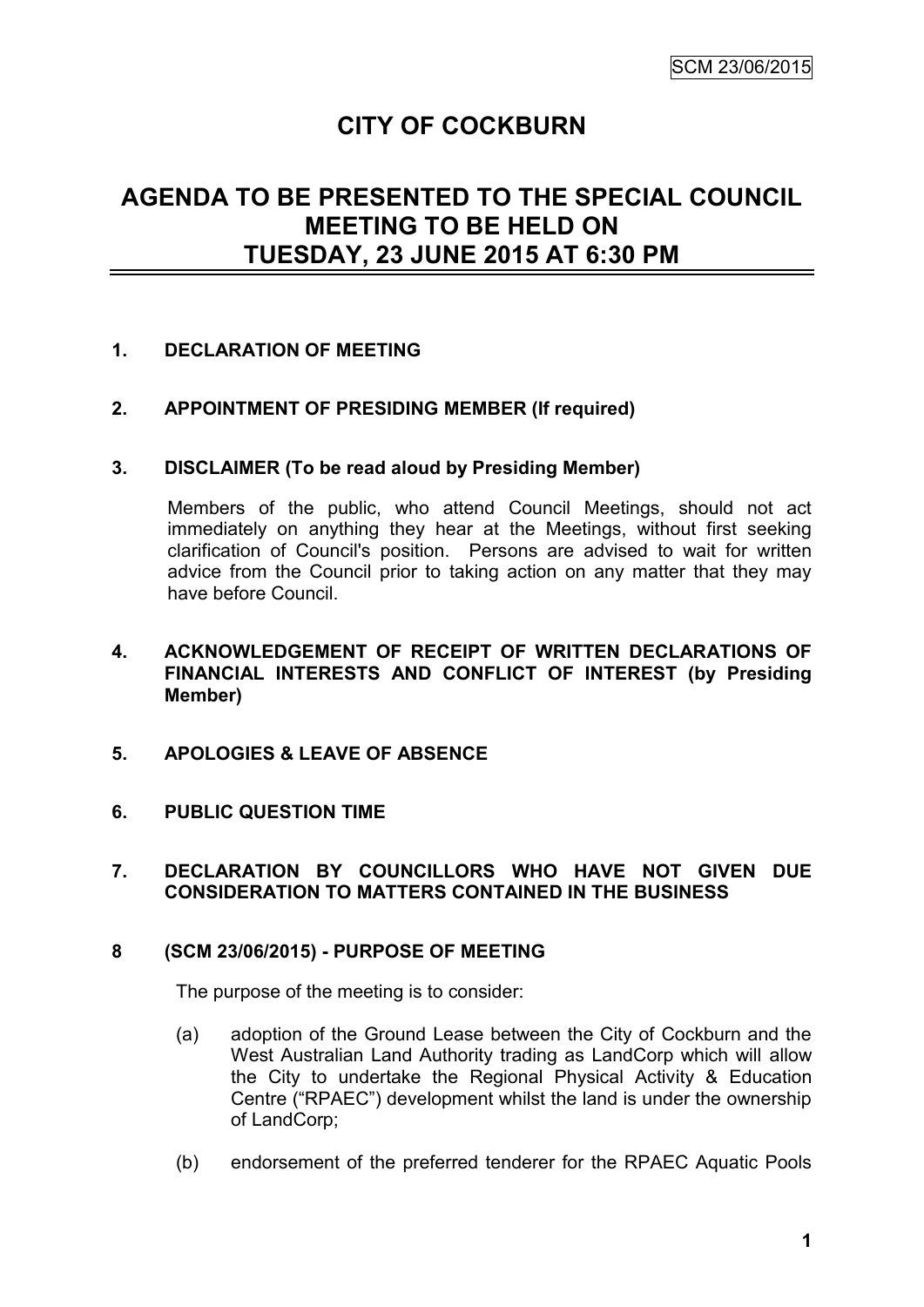# **CITY OF COCKBURN**

# **AGENDA TO BE PRESENTED TO THE SPECIAL COUNCIL MEETING TO BE HELD ON TUESDAY, 23 JUNE 2015 AT 6:30 PM**

# **1. DECLARATION OF MEETING**

#### **2. APPOINTMENT OF PRESIDING MEMBER (If required)**

#### **3. DISCLAIMER (To be read aloud by Presiding Member)**

Members of the public, who attend Council Meetings, should not act immediately on anything they hear at the Meetings, without first seeking clarification of Council's position. Persons are advised to wait for written advice from the Council prior to taking action on any matter that they may have before Council.

#### **4. ACKNOWLEDGEMENT OF RECEIPT OF WRITTEN DECLARATIONS OF FINANCIAL INTERESTS AND CONFLICT OF INTEREST (by Presiding Member)**

- **5. APOLOGIES & LEAVE OF ABSENCE**
- **6. PUBLIC QUESTION TIME**

#### **7. DECLARATION BY COUNCILLORS WHO HAVE NOT GIVEN DUE CONSIDERATION TO MATTERS CONTAINED IN THE BUSINESS**

#### **8 (SCM 23/06/2015) - PURPOSE OF MEETING**

The purpose of the meeting is to consider:

- (a) adoption of the Ground Lease between the City of Cockburn and the West Australian Land Authority trading as LandCorp which will allow the City to undertake the Regional Physical Activity & Education Centre ("RPAEC") development whilst the land is under the ownership of LandCorp;
- (b) endorsement of the preferred tenderer for the RPAEC Aquatic Pools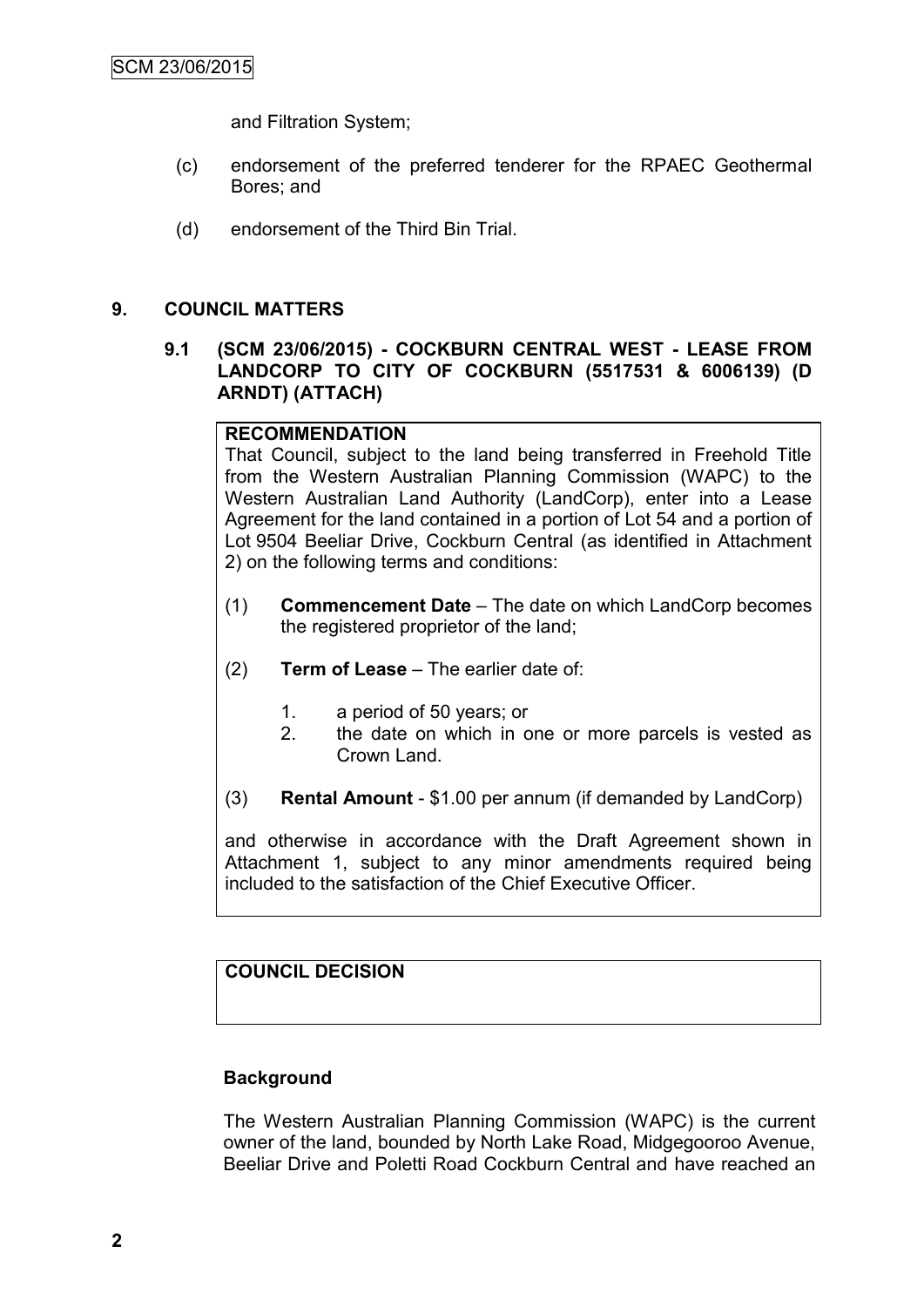and Filtration System;

- (c) endorsement of the preferred tenderer for the RPAEC Geothermal Bores; and
- (d) endorsement of the Third Bin Trial.

### **9. COUNCIL MATTERS**

**9.1 (SCM 23/06/2015) - COCKBURN CENTRAL WEST - LEASE FROM LANDCORP TO CITY OF COCKBURN (5517531 & 6006139) (D ARNDT) (ATTACH)**

#### **RECOMMENDATION**

That Council, subject to the land being transferred in Freehold Title from the Western Australian Planning Commission (WAPC) to the Western Australian Land Authority (LandCorp), enter into a Lease Agreement for the land contained in a portion of Lot 54 and a portion of Lot 9504 Beeliar Drive, Cockburn Central (as identified in Attachment 2) on the following terms and conditions:

- (1) **Commencement Date** The date on which LandCorp becomes the registered proprietor of the land;
- (2) **Term of Lease** The earlier date of:
	- 1. a period of 50 years; or
	- 2. the date on which in one or more parcels is vested as Crown Land.
- (3) **Rental Amount** \$1.00 per annum (if demanded by LandCorp)

and otherwise in accordance with the Draft Agreement shown in Attachment 1, subject to any minor amendments required being included to the satisfaction of the Chief Executive Officer.

# **COUNCIL DECISION**

#### **Background**

The Western Australian Planning Commission (WAPC) is the current owner of the land, bounded by North Lake Road, Midgegooroo Avenue, Beeliar Drive and Poletti Road Cockburn Central and have reached an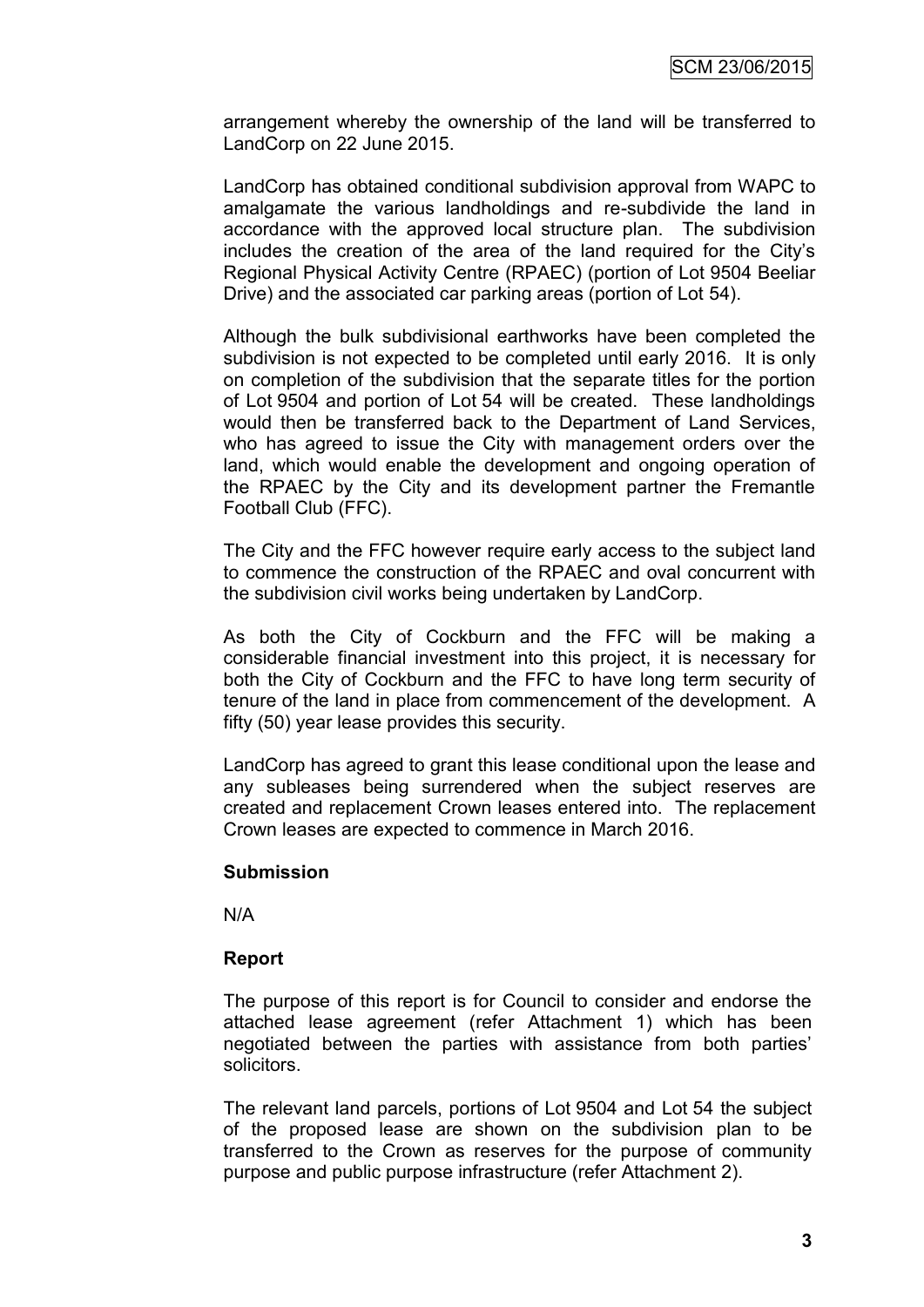arrangement whereby the ownership of the land will be transferred to LandCorp on 22 June 2015.

LandCorp has obtained conditional subdivision approval from WAPC to amalgamate the various landholdings and re-subdivide the land in accordance with the approved local structure plan. The subdivision includes the creation of the area of the land required for the City's Regional Physical Activity Centre (RPAEC) (portion of Lot 9504 Beeliar Drive) and the associated car parking areas (portion of Lot 54).

Although the bulk subdivisional earthworks have been completed the subdivision is not expected to be completed until early 2016. It is only on completion of the subdivision that the separate titles for the portion of Lot 9504 and portion of Lot 54 will be created. These landholdings would then be transferred back to the Department of Land Services, who has agreed to issue the City with management orders over the land, which would enable the development and ongoing operation of the RPAEC by the City and its development partner the Fremantle Football Club (FFC).

The City and the FFC however require early access to the subject land to commence the construction of the RPAEC and oval concurrent with the subdivision civil works being undertaken by LandCorp.

As both the City of Cockburn and the FFC will be making a considerable financial investment into this project, it is necessary for both the City of Cockburn and the FFC to have long term security of tenure of the land in place from commencement of the development. A fifty (50) year lease provides this security.

LandCorp has agreed to grant this lease conditional upon the lease and any subleases being surrendered when the subject reserves are created and replacement Crown leases entered into. The replacement Crown leases are expected to commence in March 2016.

#### **Submission**

N/A

#### **Report**

The purpose of this report is for Council to consider and endorse the attached lease agreement (refer Attachment 1) which has been negotiated between the parties with assistance from both parties' solicitors.

The relevant land parcels, portions of Lot 9504 and Lot 54 the subject of the proposed lease are shown on the subdivision plan to be transferred to the Crown as reserves for the purpose of community purpose and public purpose infrastructure (refer Attachment 2).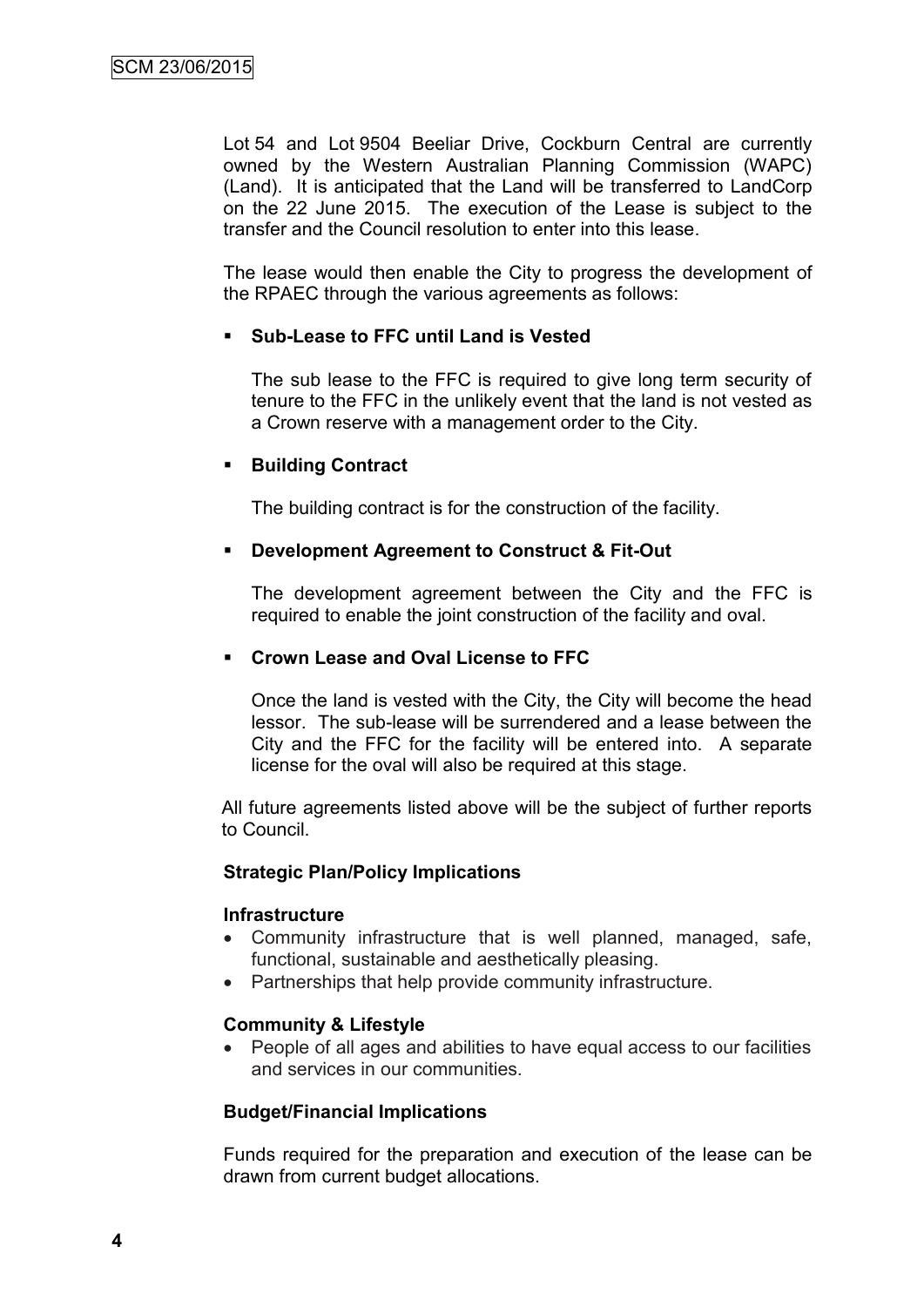Lot 54 and Lot 9504 Beeliar Drive, Cockburn Central are currently owned by the Western Australian Planning Commission (WAPC) (Land). It is anticipated that the Land will be transferred to LandCorp on the 22 June 2015. The execution of the Lease is subject to the transfer and the Council resolution to enter into this lease.

The lease would then enable the City to progress the development of the RPAEC through the various agreements as follows:

#### **Sub-Lease to FFC until Land is Vested**

The sub lease to the FFC is required to give long term security of tenure to the FFC in the unlikely event that the land is not vested as a Crown reserve with a management order to the City.

#### **Building Contract**

The building contract is for the construction of the facility.

#### **Development Agreement to Construct & Fit-Out**

The development agreement between the City and the FFC is required to enable the joint construction of the facility and oval.

#### **Crown Lease and Oval License to FFC**

Once the land is vested with the City, the City will become the head lessor. The sub-lease will be surrendered and a lease between the City and the FFC for the facility will be entered into. A separate license for the oval will also be required at this stage.

All future agreements listed above will be the subject of further reports to Council.

#### **Strategic Plan/Policy Implications**

#### **Infrastructure**

- Community infrastructure that is well planned, managed, safe, functional, sustainable and aesthetically pleasing.
- Partnerships that help provide community infrastructure.

#### **Community & Lifestyle**

 People of all ages and abilities to have equal access to our facilities and services in our communities.

#### **Budget/Financial Implications**

Funds required for the preparation and execution of the lease can be drawn from current budget allocations.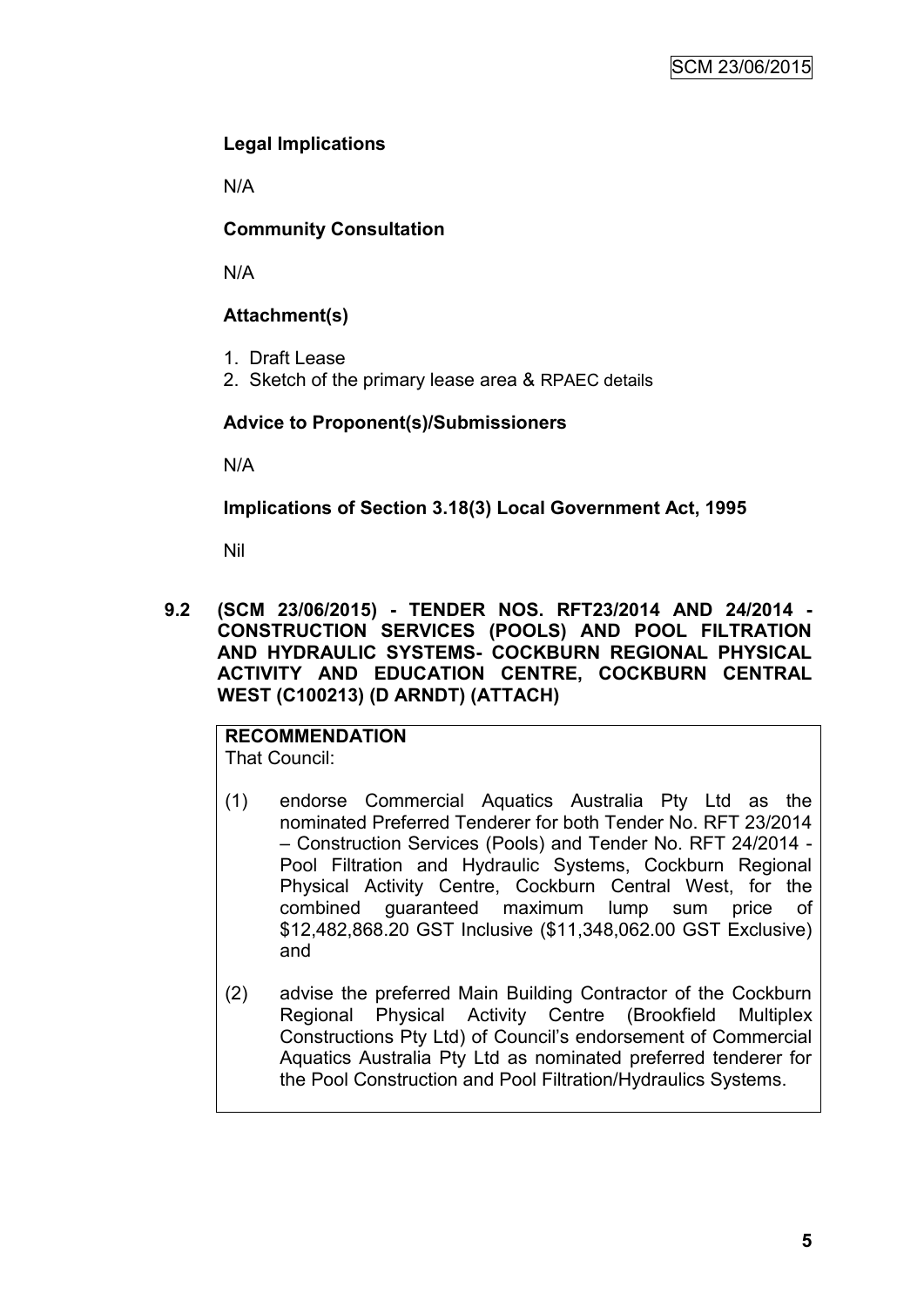# **Legal Implications**

N/A

# **Community Consultation**

N/A

# **Attachment(s)**

- 1. Draft Lease
- 2. Sketch of the primary lease area & RPAEC details

# **Advice to Proponent(s)/Submissioners**

N/A

**Implications of Section 3.18(3) Local Government Act, 1995**

Nil

**9.2 (SCM 23/06/2015) - TENDER NOS. RFT23/2014 AND 24/2014 - CONSTRUCTION SERVICES (POOLS) AND POOL FILTRATION AND HYDRAULIC SYSTEMS- COCKBURN REGIONAL PHYSICAL ACTIVITY AND EDUCATION CENTRE, COCKBURN CENTRAL WEST (C100213) (D ARNDT) (ATTACH)**

# **RECOMMENDATION**

- That Council:
- (1) endorse Commercial Aquatics Australia Pty Ltd as the nominated Preferred Tenderer for both Tender No. RFT 23/2014 – Construction Services (Pools) and Tender No. RFT 24/2014 - Pool Filtration and Hydraulic Systems, Cockburn Regional Physical Activity Centre, Cockburn Central West, for the combined guaranteed maximum lump sum price of \$12,482,868.20 GST Inclusive (\$11,348,062.00 GST Exclusive) and
- (2) advise the preferred Main Building Contractor of the Cockburn Regional Physical Activity Centre (Brookfield Multiplex Constructions Pty Ltd) of Council's endorsement of Commercial Aquatics Australia Pty Ltd as nominated preferred tenderer for the Pool Construction and Pool Filtration/Hydraulics Systems.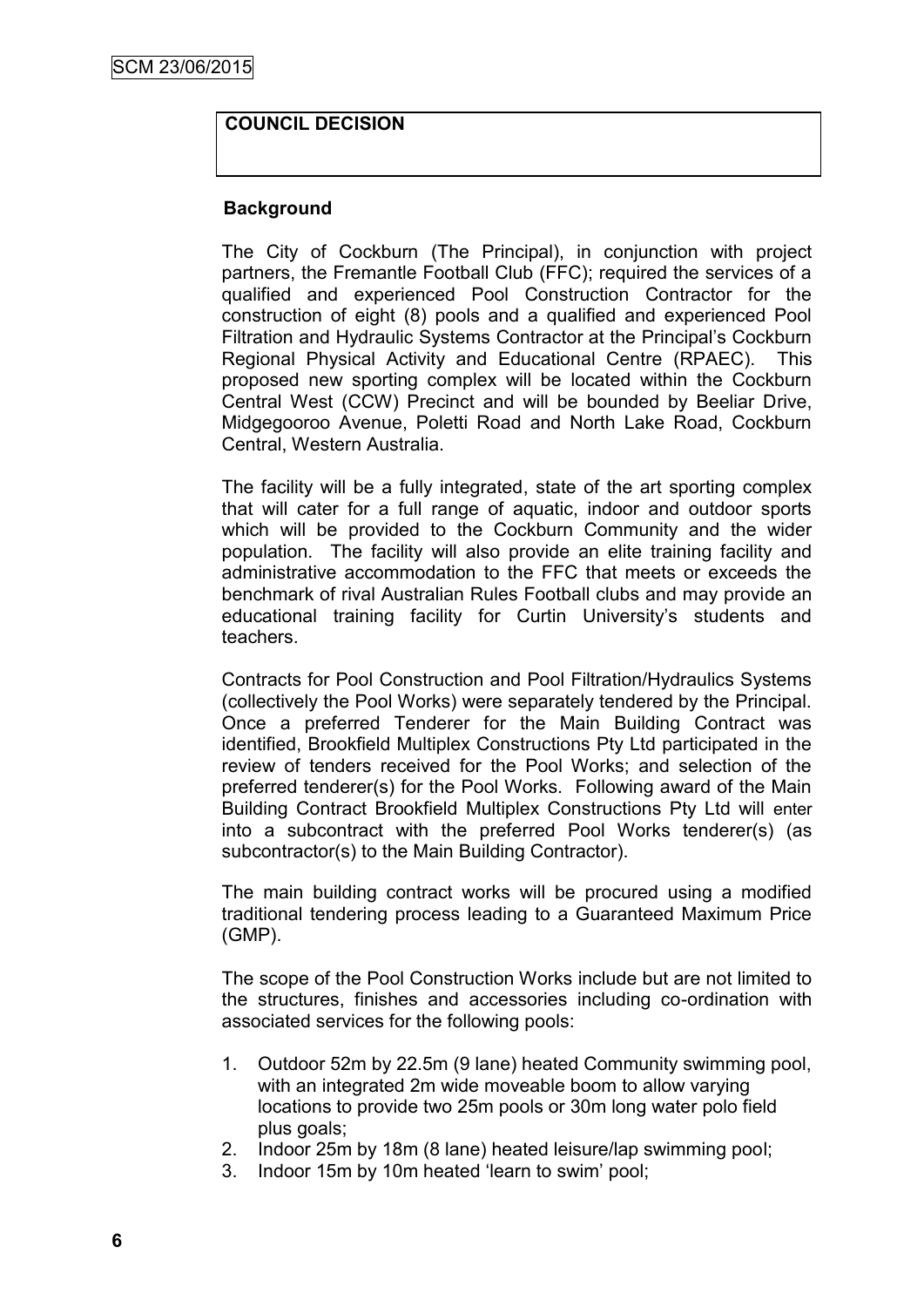# **COUNCIL DECISION**

#### **Background**

The City of Cockburn (The Principal), in conjunction with project partners, the Fremantle Football Club (FFC); required the services of a qualified and experienced Pool Construction Contractor for the construction of eight (8) pools and a qualified and experienced Pool Filtration and Hydraulic Systems Contractor at the Principal's Cockburn Regional Physical Activity and Educational Centre (RPAEC). This proposed new sporting complex will be located within the Cockburn Central West (CCW) Precinct and will be bounded by Beeliar Drive, Midgegooroo Avenue, Poletti Road and North Lake Road, Cockburn Central, Western Australia.

The facility will be a fully integrated, state of the art sporting complex that will cater for a full range of aquatic, indoor and outdoor sports which will be provided to the Cockburn Community and the wider population. The facility will also provide an elite training facility and administrative accommodation to the FFC that meets or exceeds the benchmark of rival Australian Rules Football clubs and may provide an educational training facility for Curtin University's students and teachers.

Contracts for Pool Construction and Pool Filtration/Hydraulics Systems (collectively the Pool Works) were separately tendered by the Principal. Once a preferred Tenderer for the Main Building Contract was identified, Brookfield Multiplex Constructions Pty Ltd participated in the review of tenders received for the Pool Works; and selection of the preferred tenderer(s) for the Pool Works. Following award of the Main Building Contract Brookfield Multiplex Constructions Pty Ltd will enter into a subcontract with the preferred Pool Works tenderer(s) (as subcontractor(s) to the Main Building Contractor).

The main building contract works will be procured using a modified traditional tendering process leading to a Guaranteed Maximum Price (GMP).

The scope of the Pool Construction Works include but are not limited to the structures, finishes and accessories including co-ordination with associated services for the following pools:

- 1. Outdoor 52m by 22.5m (9 lane) heated Community swimming pool, with an integrated 2m wide moveable boom to allow varying locations to provide two 25m pools or 30m long water polo field plus goals;
- 2. Indoor 25m by 18m (8 lane) heated leisure/lap swimming pool;
- 3. Indoor 15m by 10m heated 'learn to swim' pool;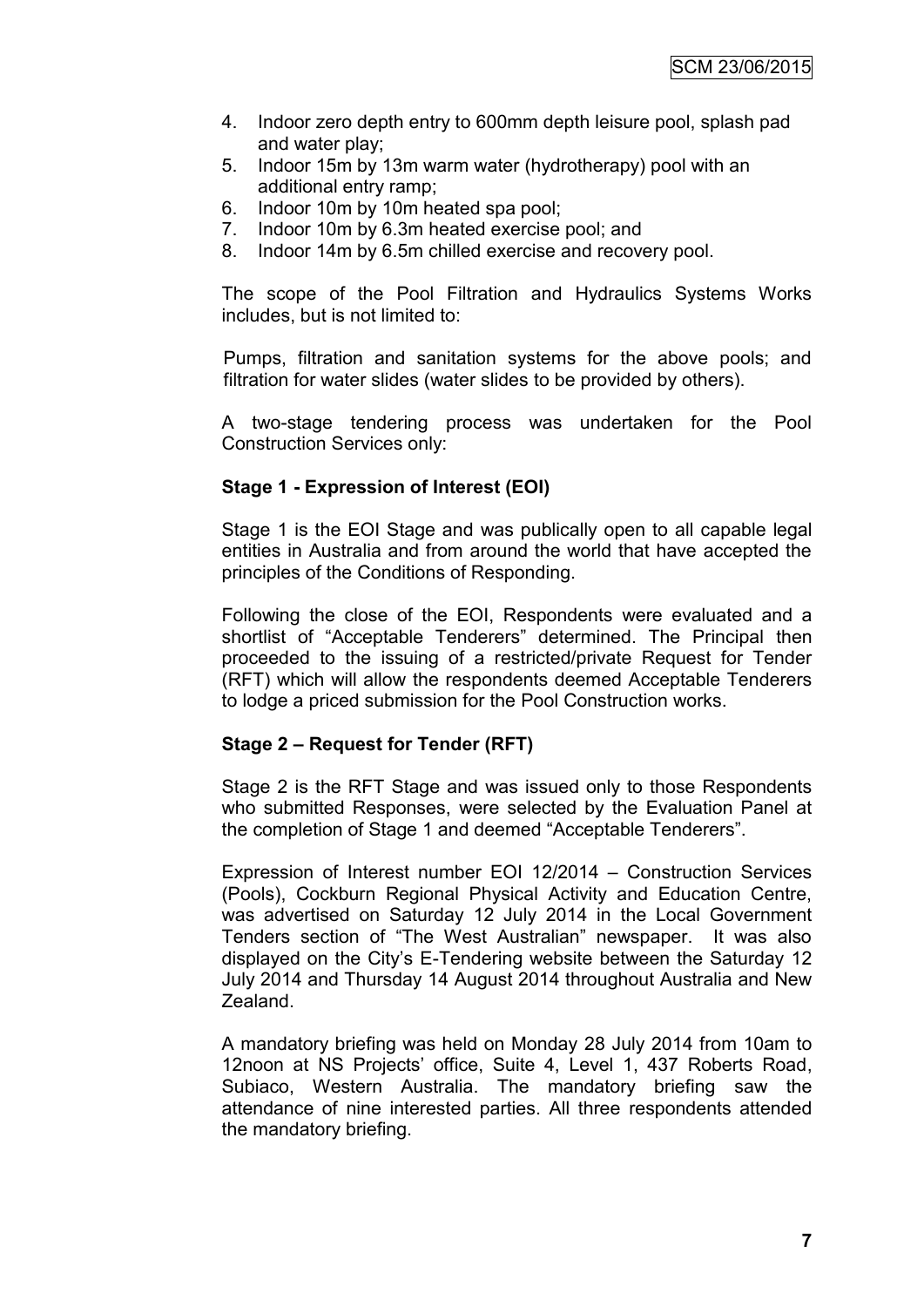- 4. Indoor zero depth entry to 600mm depth leisure pool, splash pad and water play;
- 5. Indoor 15m by 13m warm water (hydrotherapy) pool with an additional entry ramp;
- 6. Indoor 10m by 10m heated spa pool;
- 7. Indoor 10m by 6.3m heated exercise pool; and
- 8. Indoor 14m by 6.5m chilled exercise and recovery pool.

The scope of the Pool Filtration and Hydraulics Systems Works includes, but is not limited to:

Pumps, filtration and sanitation systems for the above pools; and filtration for water slides (water slides to be provided by others).

A two-stage tendering process was undertaken for the Pool Construction Services only:

#### **Stage 1 - Expression of Interest (EOI)**

Stage 1 is the EOI Stage and was publically open to all capable legal entities in Australia and from around the world that have accepted the principles of the Conditions of Responding.

Following the close of the EOI, Respondents were evaluated and a shortlist of "Acceptable Tenderers" determined. The Principal then proceeded to the issuing of a restricted/private Request for Tender (RFT) which will allow the respondents deemed Acceptable Tenderers to lodge a priced submission for the Pool Construction works.

#### **Stage 2 – Request for Tender (RFT)**

Stage 2 is the RFT Stage and was issued only to those Respondents who submitted Responses, were selected by the Evaluation Panel at the completion of Stage 1 and deemed "Acceptable Tenderers".

Expression of Interest number EOI 12/2014 – Construction Services (Pools), Cockburn Regional Physical Activity and Education Centre, was advertised on Saturday 12 July 2014 in the Local Government Tenders section of "The West Australian" newspaper. It was also displayed on the City's E-Tendering website between the Saturday 12 July 2014 and Thursday 14 August 2014 throughout Australia and New Zealand.

A mandatory briefing was held on Monday 28 July 2014 from 10am to 12noon at NS Projects' office, Suite 4, Level 1, 437 Roberts Road, Subiaco, Western Australia. The mandatory briefing saw the attendance of nine interested parties. All three respondents attended the mandatory briefing.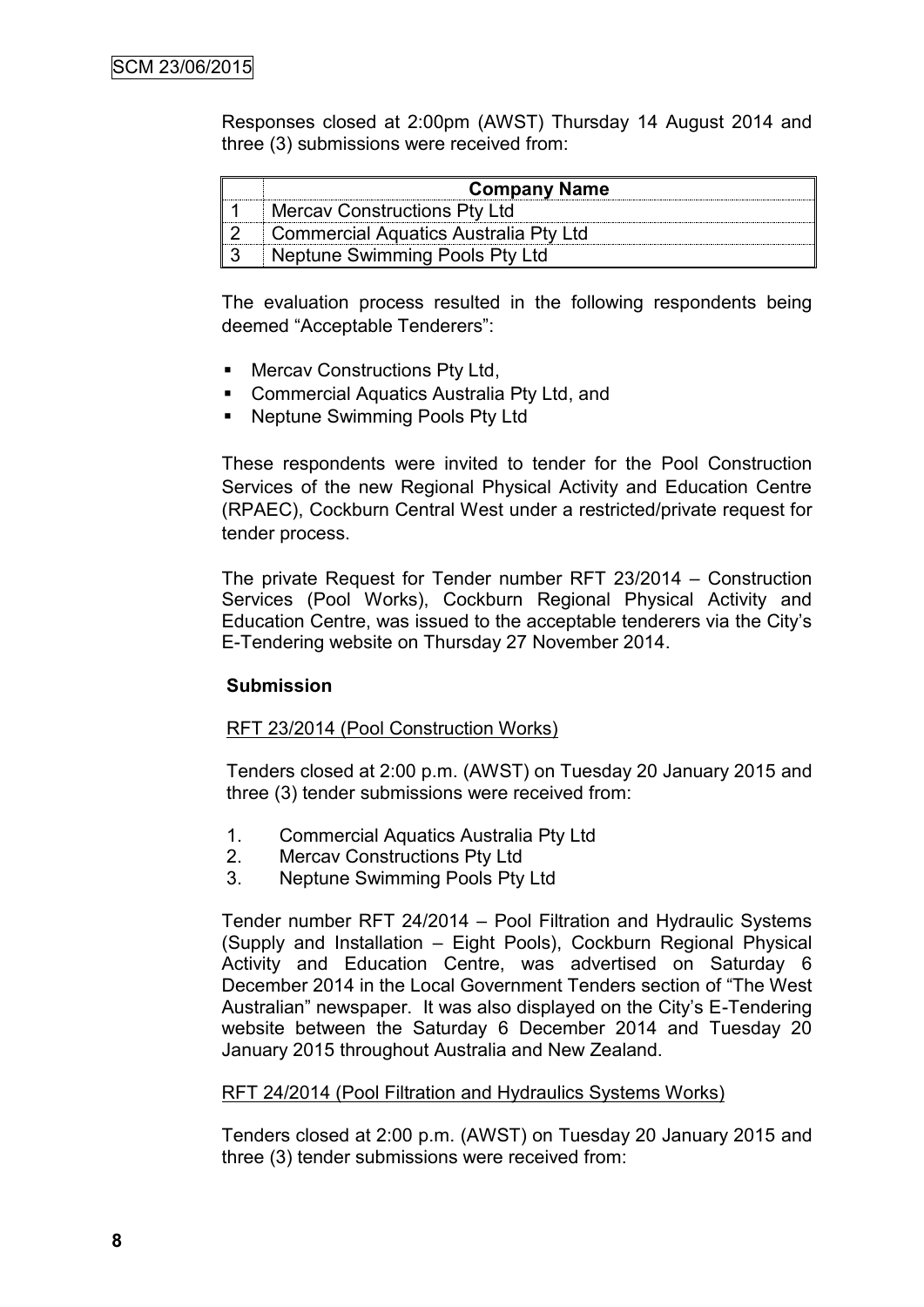Responses closed at 2:00pm (AWST) Thursday 14 August 2014 and three (3) submissions were received from:

| <b>Company Name</b>                          |
|----------------------------------------------|
| <b>Mercay Constructions Pty Ltd</b>          |
| <b>Commercial Aquatics Australia Pty Ltd</b> |
| Neptune Swimming Pools Pty Ltd               |

The evaluation process resulted in the following respondents being deemed "Acceptable Tenderers":

- Mercav Constructions Pty Ltd,
- **Commercial Aquatics Australia Pty Ltd, and**
- **Neptune Swimming Pools Pty Ltd**

These respondents were invited to tender for the Pool Construction Services of the new Regional Physical Activity and Education Centre (RPAEC), Cockburn Central West under a restricted/private request for tender process.

The private Request for Tender number RFT 23/2014 – Construction Services (Pool Works), Cockburn Regional Physical Activity and Education Centre, was issued to the acceptable tenderers via the City's E-Tendering website on Thursday 27 November 2014.

#### **Submission**

#### RFT 23/2014 (Pool Construction Works)

Tenders closed at 2:00 p.m. (AWST) on Tuesday 20 January 2015 and three (3) tender submissions were received from:

- 1. Commercial Aquatics Australia Pty Ltd
- 2. Mercav Constructions Pty Ltd
- 3. Neptune Swimming Pools Pty Ltd

Tender number RFT 24/2014 – Pool Filtration and Hydraulic Systems (Supply and Installation – Eight Pools), Cockburn Regional Physical Activity and Education Centre, was advertised on Saturday 6 December 2014 in the Local Government Tenders section of "The West Australian" newspaper. It was also displayed on the City's E-Tendering website between the Saturday 6 December 2014 and Tuesday 20 January 2015 throughout Australia and New Zealand.

#### RFT 24/2014 (Pool Filtration and Hydraulics Systems Works)

Tenders closed at 2:00 p.m. (AWST) on Tuesday 20 January 2015 and three (3) tender submissions were received from: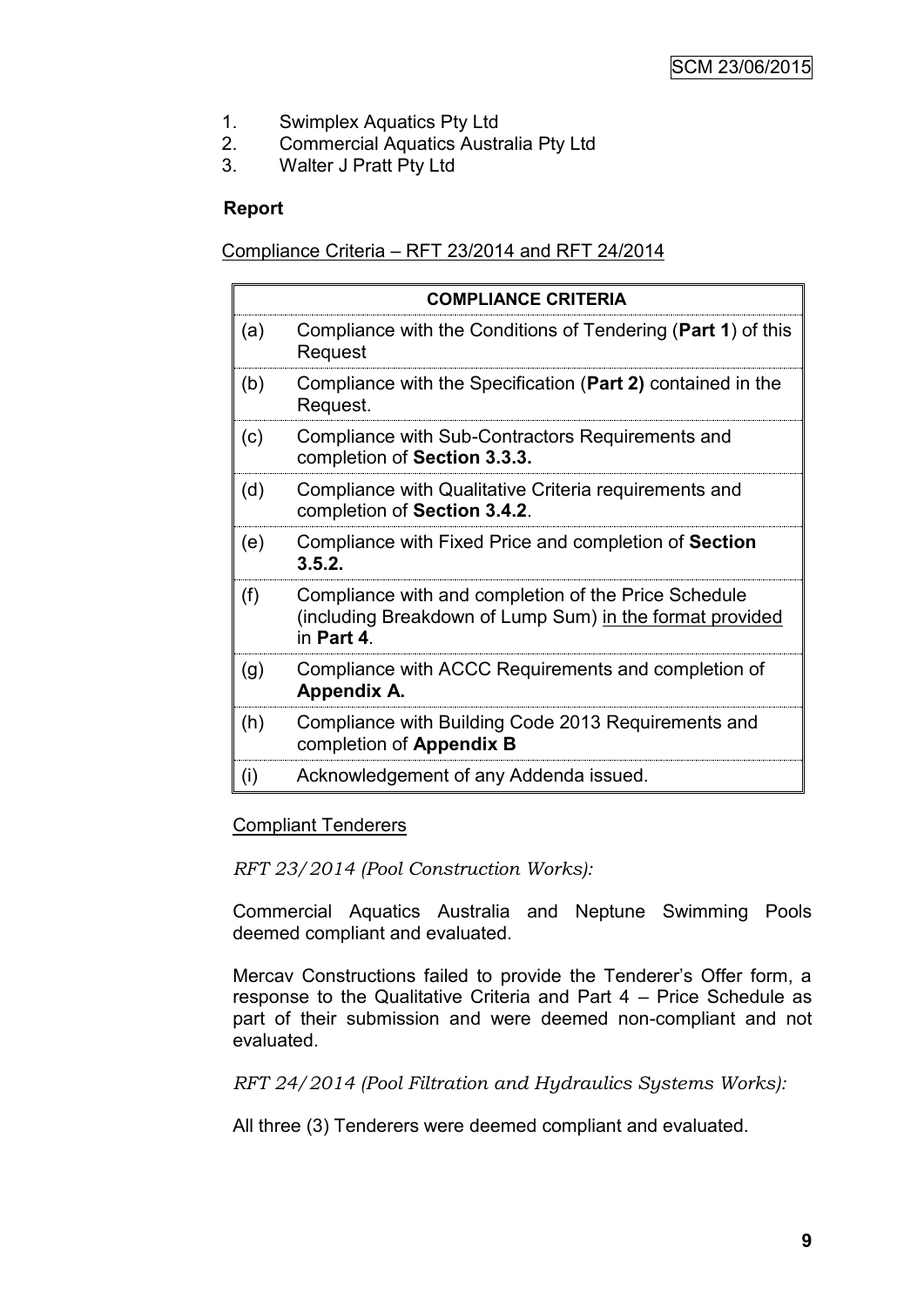- 1. Swimplex Aquatics Pty Ltd
- 2. Commercial Aquatics Australia Pty Ltd
- 3. Walter J Pratt Pty Ltd

### **Report**

Compliance Criteria – RFT 23/2014 and RFT 24/2014

|     | <b>COMPLIANCE CRITERIA</b>                                                                                                     |
|-----|--------------------------------------------------------------------------------------------------------------------------------|
| (a) | Compliance with the Conditions of Tendering (Part 1) of this<br>Request                                                        |
| (b) | Compliance with the Specification (Part 2) contained in the<br>Request.                                                        |
| (c) | Compliance with Sub-Contractors Requirements and<br>completion of Section 3.3.3.                                               |
| (d) | Compliance with Qualitative Criteria requirements and<br>completion of Section 3.4.2.                                          |
| (e) | Compliance with Fixed Price and completion of Section<br>3.5.2.                                                                |
| (f) | Compliance with and completion of the Price Schedule<br>(including Breakdown of Lump Sum) in the format provided<br>in Part 4. |
| (g) | Compliance with ACCC Requirements and completion of<br>Appendix A.                                                             |
| (h) | Compliance with Building Code 2013 Requirements and<br>completion of Appendix B                                                |
| (i) | Acknowledgement of any Addenda issued.                                                                                         |

#### Compliant Tenderers

*RFT 23/2014 (Pool Construction Works):*

Commercial Aquatics Australia and Neptune Swimming Pools deemed compliant and evaluated.

Mercav Constructions failed to provide the Tenderer's Offer form, a response to the Qualitative Criteria and Part 4 – Price Schedule as part of their submission and were deemed non-compliant and not evaluated.

*RFT 24/2014 (Pool Filtration and Hydraulics Systems Works):*

All three (3) Tenderers were deemed compliant and evaluated.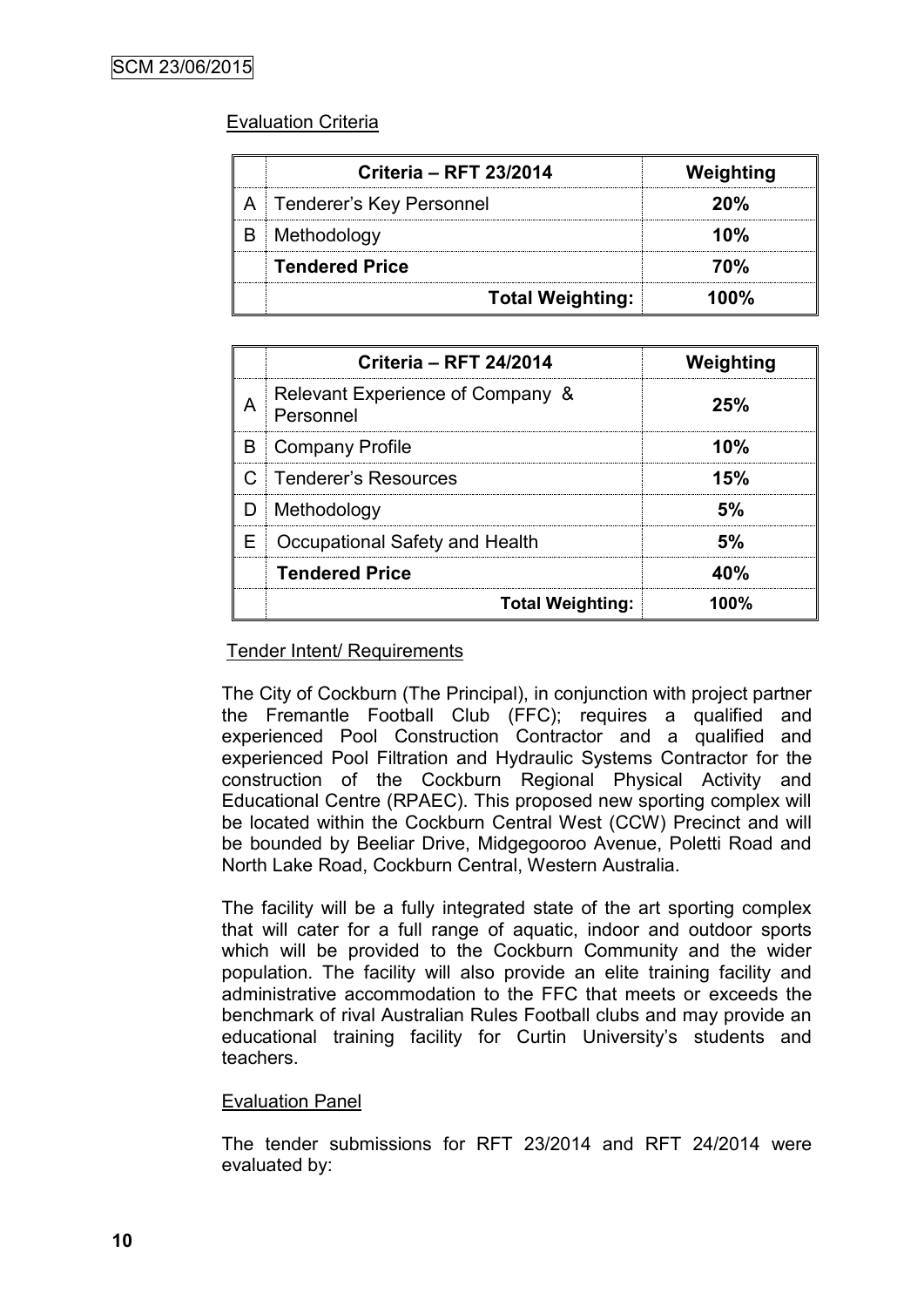# Evaluation Criteria

| <b>Criteria - RFT 23/2014</b> | Weighting        |
|-------------------------------|------------------|
| A   Tenderer's Key Personnel  | 20%              |
| <b>B</b> Methodology          | 10%              |
| <b>Tendered Price</b>         | 70%              |
| <b>Total Weighting:</b>       | 100 <sup>%</sup> |

|   | <b>Criteria - RFT 24/2014</b>                 | Weighting |
|---|-----------------------------------------------|-----------|
|   | Relevant Experience of Company &<br>Personnel | 25%       |
| B | Company Profile                               | 10%       |
|   | C   Tenderer's Resources                      | 15%       |
| D | Methodology                                   | 5%        |
|   | E   Occupational Safety and Health            | гν,       |
|   | <b>Tendered Price</b>                         | 40%       |
|   | <b>Total Weighting:</b>                       | $100\%$   |

#### Tender Intent/ Requirements

The City of Cockburn (The Principal), in conjunction with project partner the Fremantle Football Club (FFC); requires a qualified and experienced Pool Construction Contractor and a qualified and experienced Pool Filtration and Hydraulic Systems Contractor for the construction of the Cockburn Regional Physical Activity and Educational Centre (RPAEC). This proposed new sporting complex will be located within the Cockburn Central West (CCW) Precinct and will be bounded by Beeliar Drive, Midgegooroo Avenue, Poletti Road and North Lake Road, Cockburn Central, Western Australia.

The facility will be a fully integrated state of the art sporting complex that will cater for a full range of aquatic, indoor and outdoor sports which will be provided to the Cockburn Community and the wider population. The facility will also provide an elite training facility and administrative accommodation to the FFC that meets or exceeds the benchmark of rival Australian Rules Football clubs and may provide an educational training facility for Curtin University's students and teachers.

#### Evaluation Panel

The tender submissions for RFT 23/2014 and RFT 24/2014 were evaluated by: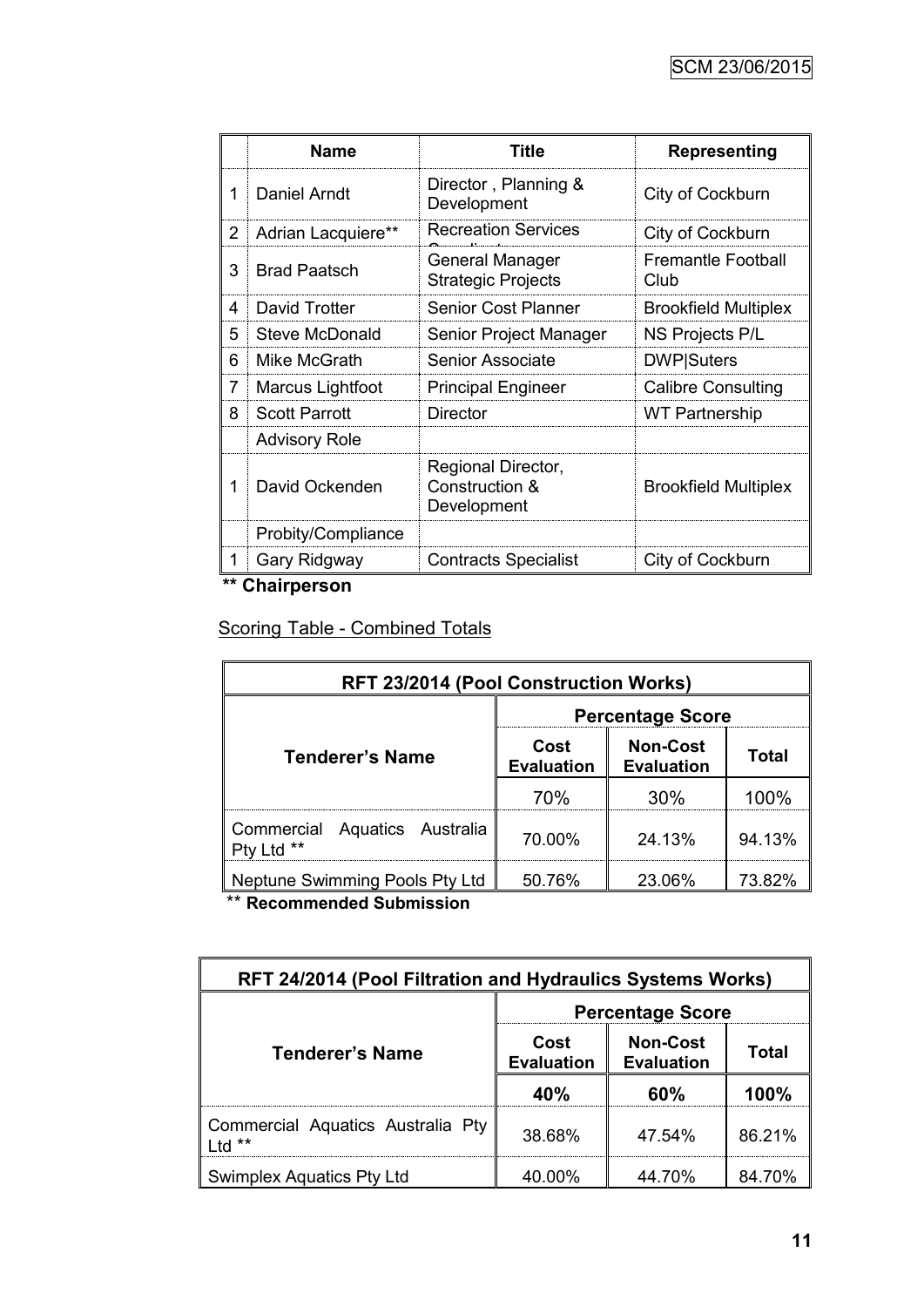|                | <b>Name</b>          | <b>Title</b>                                        | <b>Representing</b>               |
|----------------|----------------------|-----------------------------------------------------|-----------------------------------|
|                | Daniel Arndt         | Director, Planning &<br>Development                 | City of Cockburn                  |
| $\overline{2}$ | Adrian Lacquiere**   | <b>Recreation Services</b>                          | City of Cockburn                  |
| 3              | <b>Brad Paatsch</b>  | <b>General Manager</b><br><b>Strategic Projects</b> | <b>Fremantle Football</b><br>Club |
| 4              | David Trotter        | Senior Cost Planner                                 | <b>Brookfield Multiplex</b>       |
| 5              | Steve McDonald       | Senior Project Manager                              | <b>NS Projects P/L</b>            |
| 6              | Mike McGrath         | Senior Associate                                    | <b>DWP</b>  Suters                |
| 7              | Marcus Lightfoot     | <b>Principal Engineer</b>                           | <b>Calibre Consulting</b>         |
| 8              | <b>Scott Parrott</b> | <b>Director</b>                                     | <b>WT Partnership</b>             |
|                | <b>Advisory Role</b> |                                                     |                                   |
|                | David Ockenden       | Regional Director,<br>Construction &<br>Development | <b>Brookfield Multiplex</b>       |
|                | Probity/Compliance   |                                                     |                                   |
|                | Gary Ridgway         | <b>Contracts Specialist</b>                         | City of Cockburn                  |

**\*\* Chairperson**

Scoring Table - Combined Totals

| <b>RFT 23/2014 (Pool Construction Works)</b>   |                           |                                      |              |
|------------------------------------------------|---------------------------|--------------------------------------|--------------|
|                                                | <b>Percentage Score</b>   |                                      |              |
| <b>Tenderer's Name</b>                         | Cost<br><b>Evaluation</b> | <b>Non-Cost</b><br><b>Evaluation</b> | <b>Total</b> |
|                                                | 70%                       | 30%                                  | 100%         |
| Commercial Aquatics Australia<br>**<br>Pty Ltd | 70.00%                    | 24.13%                               | 94.13%       |
| Neptune Swimming Pools Pty Ltd                 | 50.76%                    | 23.06%                               | 73.82%       |

\*\* **Recommended Submission**

| RFT 24/2014 (Pool Filtration and Hydraulics Systems Works) |                           |                                      |        |
|------------------------------------------------------------|---------------------------|--------------------------------------|--------|
|                                                            | <b>Percentage Score</b>   |                                      |        |
| <b>Tenderer's Name</b>                                     | Cost<br><b>Evaluation</b> | <b>Non-Cost</b><br><b>Evaluation</b> | Total  |
|                                                            | 40%                       | <b>60%</b>                           | 100%   |
| Commercial Aquatics Australia Pty<br>**                    | 38.68%                    | 47.54%                               | 86.21% |
| Swimplex Aquatics Pty Ltd                                  | 40.00%                    | 44.70%                               | 84.70% |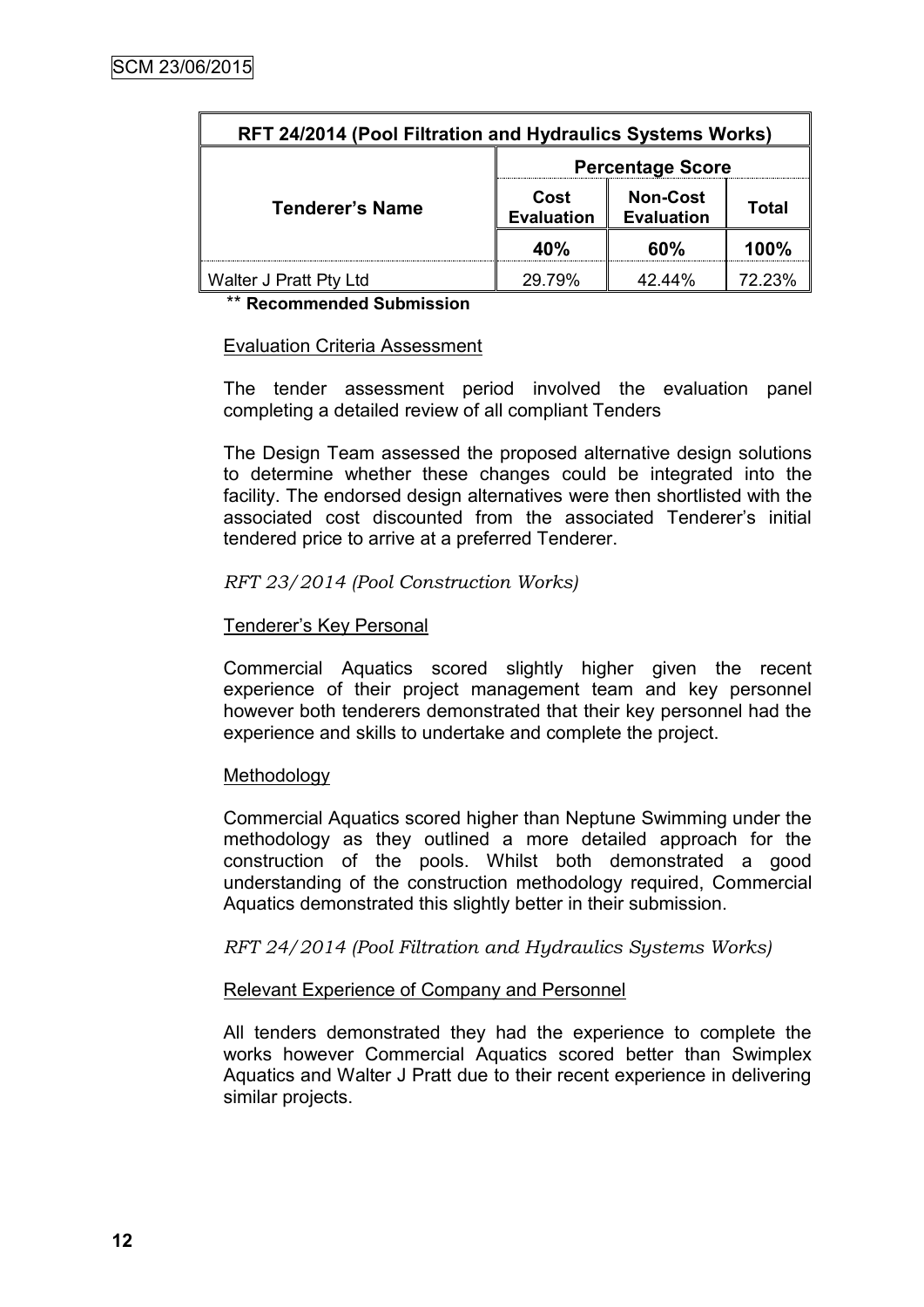| RFT 24/2014 (Pool Filtration and Hydraulics Systems Works) |                           |                                      |        |
|------------------------------------------------------------|---------------------------|--------------------------------------|--------|
|                                                            | <b>Percentage Score</b>   |                                      |        |
| <b>Tenderer's Name</b>                                     | Cost<br><b>Evaluation</b> | <b>Non-Cost</b><br><b>Evaluation</b> | Total  |
|                                                            | 40%                       | 60%                                  | 100%   |
| Walter J Pratt Pty Ltd                                     | 29.79%                    | $42.44\%$                            | 72.23% |

\*\* **Recommended Submission**

#### Evaluation Criteria Assessment

The tender assessment period involved the evaluation panel completing a detailed review of all compliant Tenders

The Design Team assessed the proposed alternative design solutions to determine whether these changes could be integrated into the facility. The endorsed design alternatives were then shortlisted with the associated cost discounted from the associated Tenderer's initial tendered price to arrive at a preferred Tenderer.

#### *RFT 23/2014 (Pool Construction Works)*

#### Tenderer's Key Personal

Commercial Aquatics scored slightly higher given the recent experience of their project management team and key personnel however both tenderers demonstrated that their key personnel had the experience and skills to undertake and complete the project.

#### Methodology

Commercial Aquatics scored higher than Neptune Swimming under the methodology as they outlined a more detailed approach for the construction of the pools. Whilst both demonstrated a good understanding of the construction methodology required, Commercial Aquatics demonstrated this slightly better in their submission.

#### *RFT 24/2014 (Pool Filtration and Hydraulics Systems Works)*

#### Relevant Experience of Company and Personnel

All tenders demonstrated they had the experience to complete the works however Commercial Aquatics scored better than Swimplex Aquatics and Walter J Pratt due to their recent experience in delivering similar projects.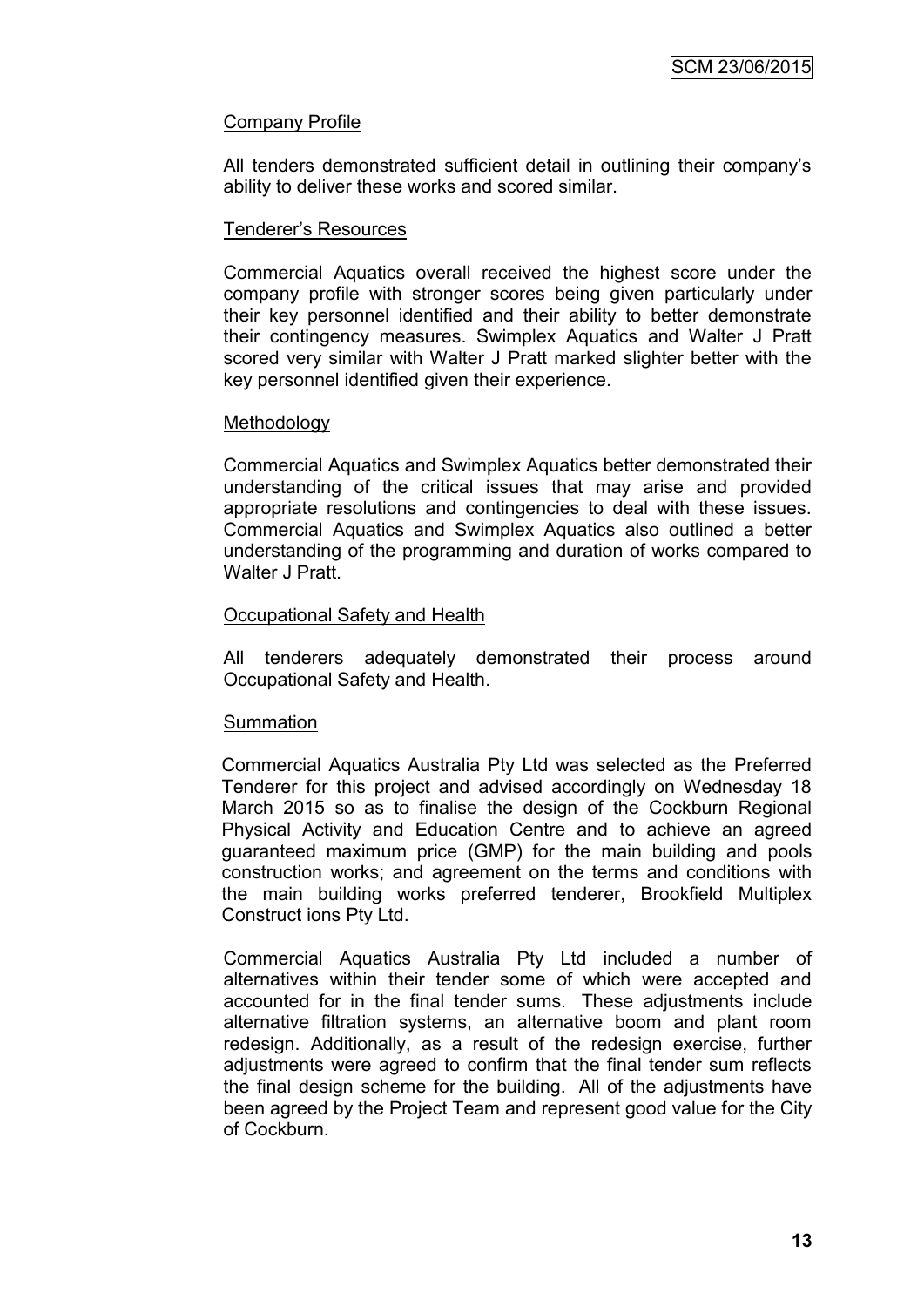# Company Profile

All tenders demonstrated sufficient detail in outlining their company's ability to deliver these works and scored similar.

#### Tenderer's Resources

Commercial Aquatics overall received the highest score under the company profile with stronger scores being given particularly under their key personnel identified and their ability to better demonstrate their contingency measures. Swimplex Aquatics and Walter J Pratt scored very similar with Walter J Pratt marked slighter better with the key personnel identified given their experience.

#### Methodology

Commercial Aquatics and Swimplex Aquatics better demonstrated their understanding of the critical issues that may arise and provided appropriate resolutions and contingencies to deal with these issues. Commercial Aquatics and Swimplex Aquatics also outlined a better understanding of the programming and duration of works compared to Walter J Pratt.

#### Occupational Safety and Health

All tenderers adequately demonstrated their process around Occupational Safety and Health.

#### **Summation**

Commercial Aquatics Australia Pty Ltd was selected as the Preferred Tenderer for this project and advised accordingly on Wednesday 18 March 2015 so as to finalise the design of the Cockburn Regional Physical Activity and Education Centre and to achieve an agreed guaranteed maximum price (GMP) for the main building and pools construction works; and agreement on the terms and conditions with the main building works preferred tenderer, Brookfield Multiplex Construct ions Pty Ltd.

Commercial Aquatics Australia Pty Ltd included a number of alternatives within their tender some of which were accepted and accounted for in the final tender sums. These adjustments include alternative filtration systems, an alternative boom and plant room redesign. Additionally, as a result of the redesign exercise, further adjustments were agreed to confirm that the final tender sum reflects the final design scheme for the building. All of the adjustments have been agreed by the Project Team and represent good value for the City of Cockburn.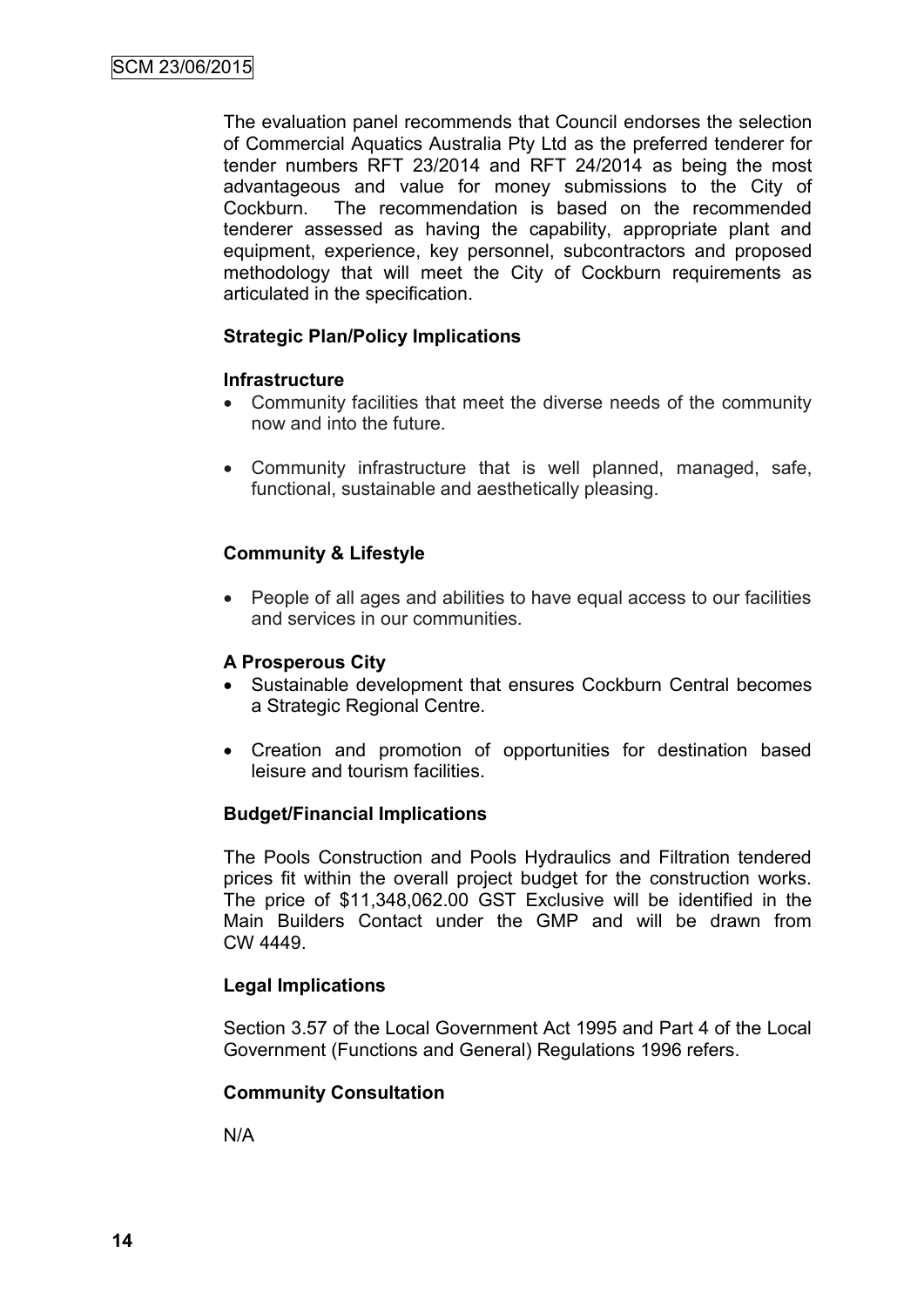The evaluation panel recommends that Council endorses the selection of Commercial Aquatics Australia Pty Ltd as the preferred tenderer for tender numbers RFT 23/2014 and RFT 24/2014 as being the most advantageous and value for money submissions to the City of Cockburn. The recommendation is based on the recommended tenderer assessed as having the capability, appropriate plant and equipment, experience, key personnel, subcontractors and proposed methodology that will meet the City of Cockburn requirements as articulated in the specification.

#### **Strategic Plan/Policy Implications**

#### **Infrastructure**

- Community facilities that meet the diverse needs of the community now and into the future.
- Community infrastructure that is well planned, managed, safe, functional, sustainable and aesthetically pleasing.

# **Community & Lifestyle**

 People of all ages and abilities to have equal access to our facilities and services in our communities.

#### **A Prosperous City**

- Sustainable development that ensures Cockburn Central becomes a Strategic Regional Centre.
- Creation and promotion of opportunities for destination based leisure and tourism facilities.

#### **Budget/Financial Implications**

The Pools Construction and Pools Hydraulics and Filtration tendered prices fit within the overall project budget for the construction works. The price of \$11,348,062.00 GST Exclusive will be identified in the Main Builders Contact under the GMP and will be drawn from CW 4449.

#### **Legal Implications**

Section 3.57 of the Local Government Act 1995 and Part 4 of the Local Government (Functions and General) Regulations 1996 refers.

#### **Community Consultation**

N/A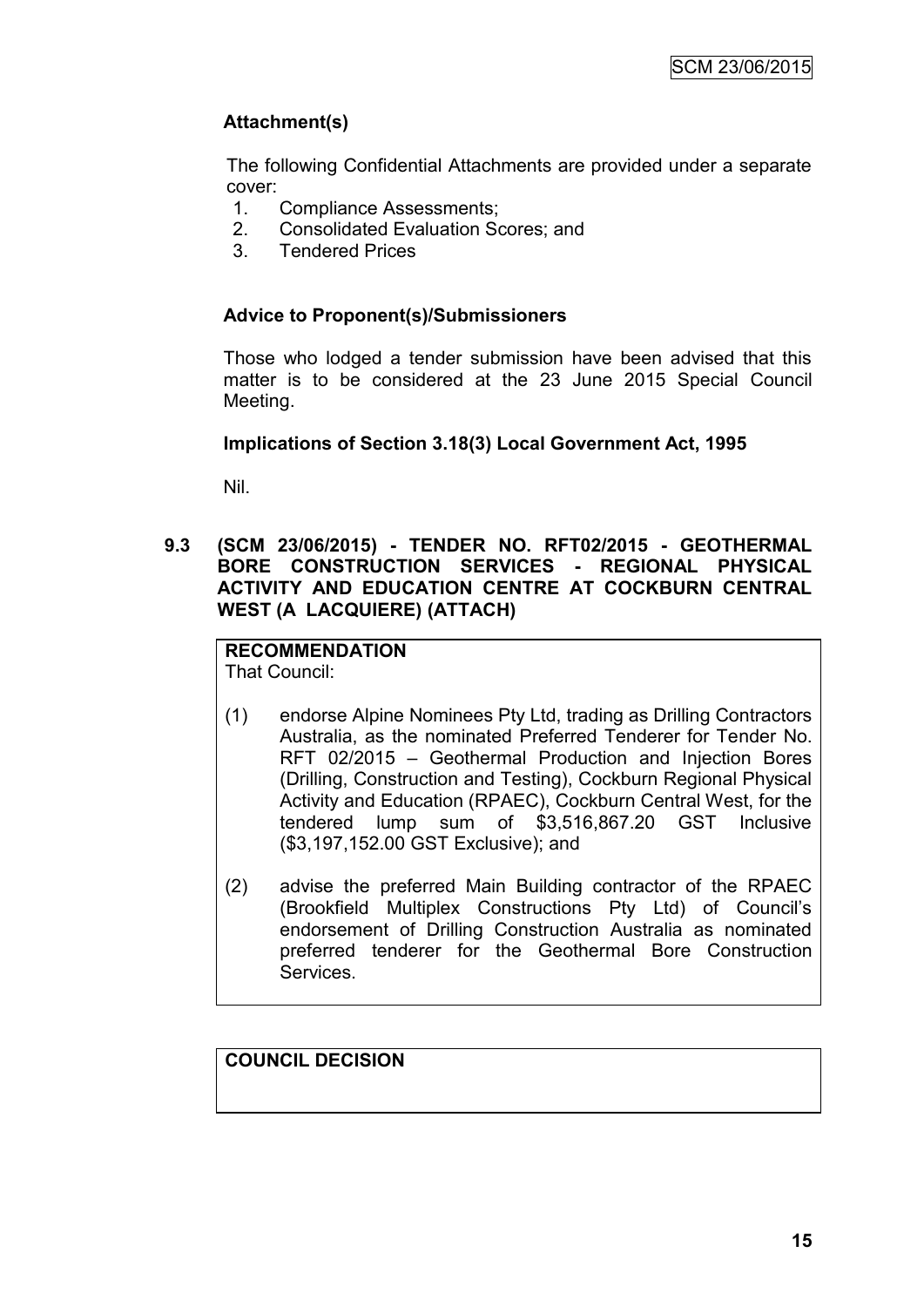# **Attachment(s)**

The following Confidential Attachments are provided under a separate cover:

- 1. Compliance Assessments;
- 2. Consolidated Evaluation Scores; and
- 3. Tendered Prices

# **Advice to Proponent(s)/Submissioners**

Those who lodged a tender submission have been advised that this matter is to be considered at the 23 June 2015 Special Council Meeting.

#### **Implications of Section 3.18(3) Local Government Act, 1995**

Nil.

**9.3 (SCM 23/06/2015) - TENDER NO. RFT02/2015 - GEOTHERMAL BORE CONSTRUCTION SERVICES - REGIONAL PHYSICAL ACTIVITY AND EDUCATION CENTRE AT COCKBURN CENTRAL WEST (A LACQUIERE) (ATTACH)**

#### **RECOMMENDATION** That Council:

(1) endorse Alpine Nominees Pty Ltd, trading as Drilling Contractors Australia, as the nominated Preferred Tenderer for Tender No. RFT 02/2015 – Geothermal Production and Injection Bores (Drilling, Construction and Testing), Cockburn Regional Physical Activity and Education (RPAEC), Cockburn Central West, for the tendered lump sum of \$3,516,867.20 GST Inclusive (\$3,197,152.00 GST Exclusive); and

(2) advise the preferred Main Building contractor of the RPAEC (Brookfield Multiplex Constructions Pty Ltd) of Council's endorsement of Drilling Construction Australia as nominated preferred tenderer for the Geothermal Bore Construction **Services** 

# **COUNCIL DECISION**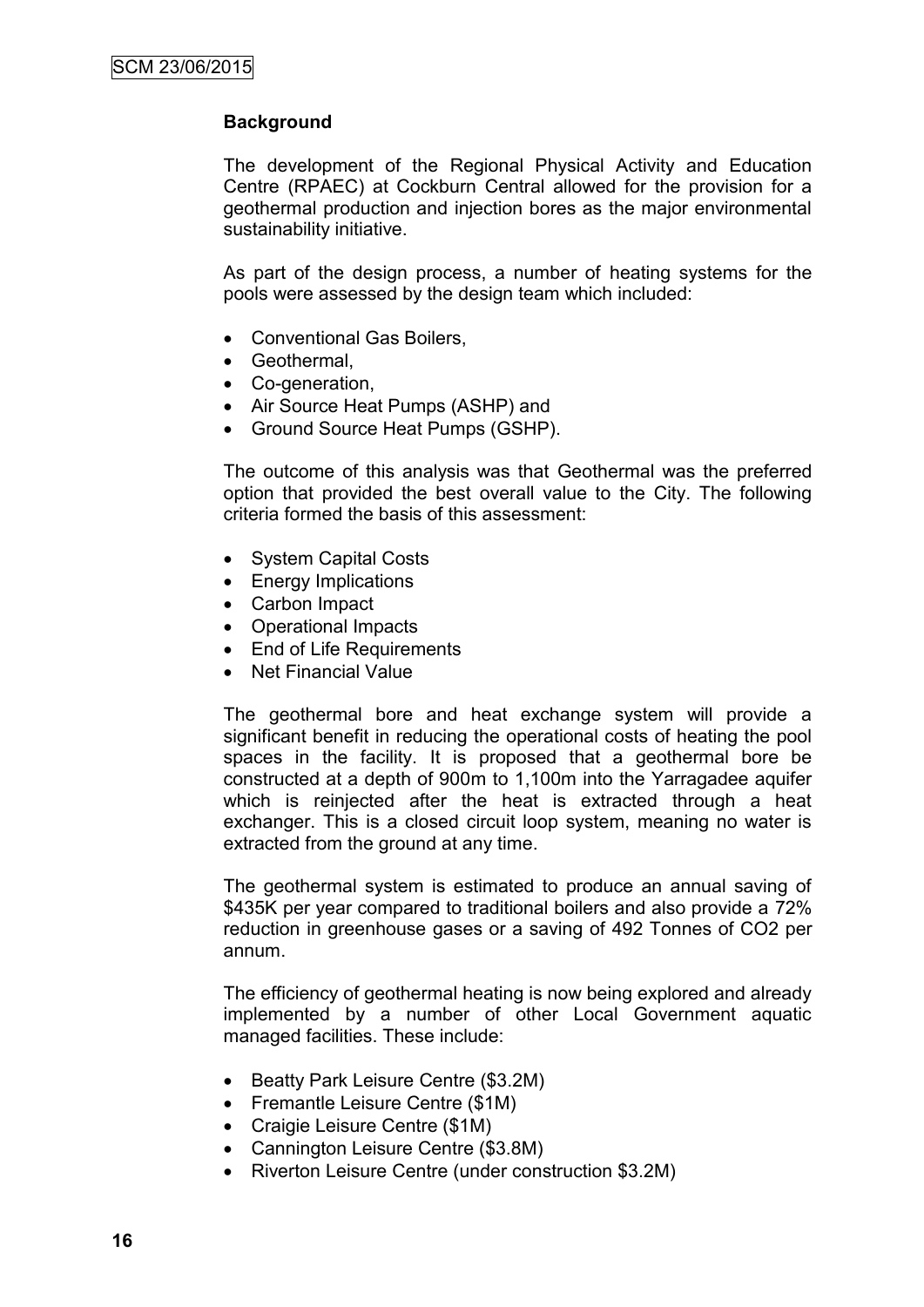# **Background**

The development of the Regional Physical Activity and Education Centre (RPAEC) at Cockburn Central allowed for the provision for a geothermal production and injection bores as the major environmental sustainability initiative.

As part of the design process, a number of heating systems for the pools were assessed by the design team which included:

- Conventional Gas Boilers,
- Geothermal.
- Co-generation,
- Air Source Heat Pumps (ASHP) and
- Ground Source Heat Pumps (GSHP).

The outcome of this analysis was that Geothermal was the preferred option that provided the best overall value to the City. The following criteria formed the basis of this assessment:

- System Capital Costs
- Energy Implications
- Carbon Impact
- Operational Impacts
- End of Life Requirements
- Net Financial Value

The geothermal bore and heat exchange system will provide a significant benefit in reducing the operational costs of heating the pool spaces in the facility. It is proposed that a geothermal bore be constructed at a depth of 900m to 1,100m into the Yarragadee aquifer which is reinjected after the heat is extracted through a heat exchanger. This is a closed circuit loop system, meaning no water is extracted from the ground at any time.

The geothermal system is estimated to produce an annual saving of \$435K per year compared to traditional boilers and also provide a 72% reduction in greenhouse gases or a saving of 492 Tonnes of CO2 per annum.

The efficiency of geothermal heating is now being explored and already implemented by a number of other Local Government aquatic managed facilities. These include:

- Beatty Park Leisure Centre (\$3.2M)
- Fremantle Leisure Centre (\$1M)
- Craigie Leisure Centre (\$1M)
- Cannington Leisure Centre (\$3.8M)
- Riverton Leisure Centre (under construction \$3.2M)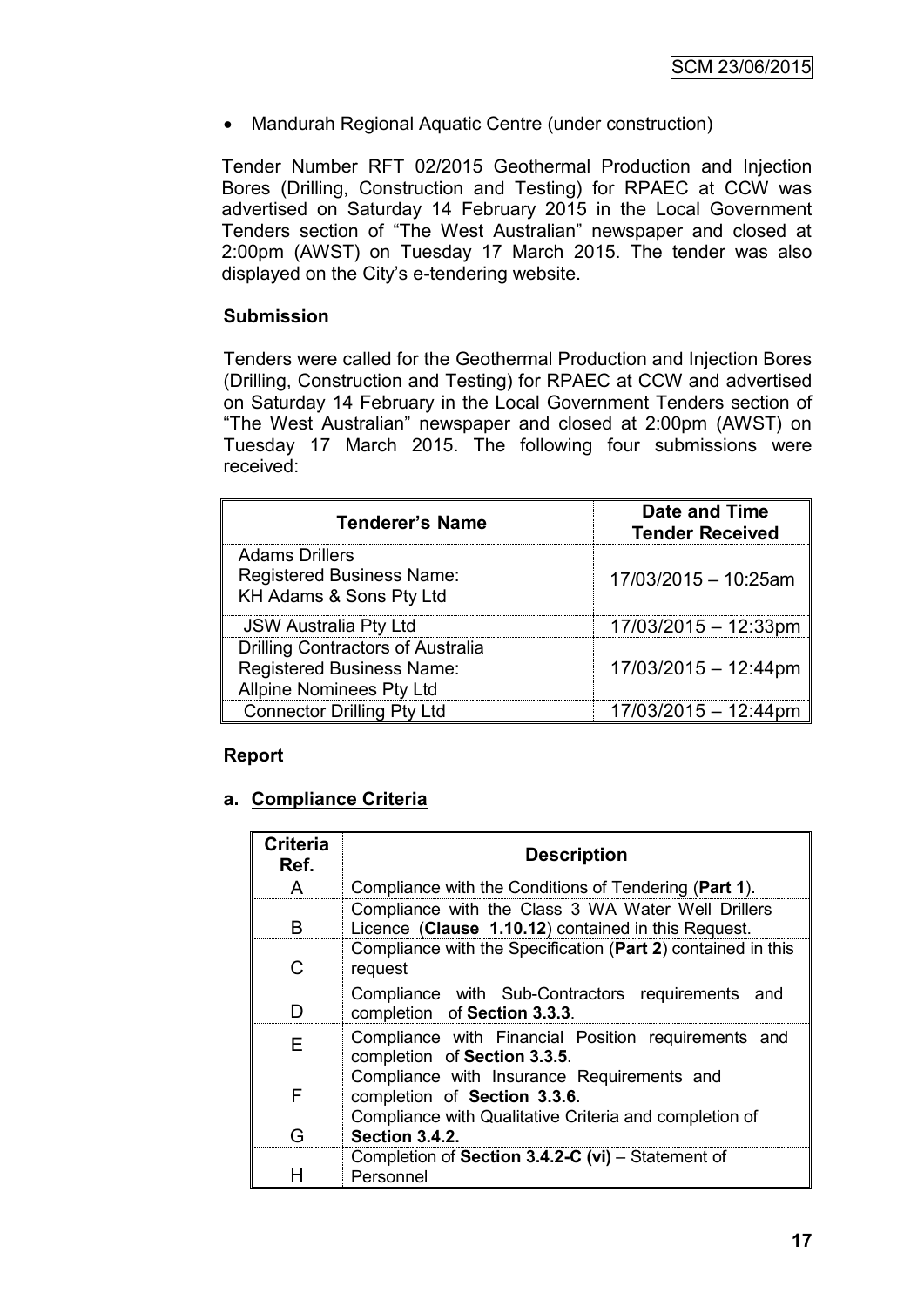• Mandurah Regional Aquatic Centre (under construction)

Tender Number RFT 02/2015 Geothermal Production and Injection Bores (Drilling, Construction and Testing) for RPAEC at CCW was advertised on Saturday 14 February 2015 in the Local Government Tenders section of "The West Australian" newspaper and closed at 2:00pm (AWST) on Tuesday 17 March 2015. The tender was also displayed on the City's e-tendering website.

# **Submission**

Tenders were called for the Geothermal Production and Injection Bores (Drilling, Construction and Testing) for RPAEC at CCW and advertised on Saturday 14 February in the Local Government Tenders section of "The West Australian" newspaper and closed at 2:00pm (AWST) on Tuesday 17 March 2015. The following four submissions were received:

| <b>Tenderer's Name</b>                                                                                          | Date and Time<br><b>Tender Received</b> |
|-----------------------------------------------------------------------------------------------------------------|-----------------------------------------|
| <b>Adams Drillers</b><br><b>Registered Business Name:</b><br>KH Adams & Sons Pty Ltd                            | 17/03/2015 - 10:25am                    |
| <b>JSW Australia Pty Ltd</b>                                                                                    | 17/03/2015 - 12:33pm                    |
| <b>Drilling Contractors of Australia</b><br><b>Registered Business Name:</b><br><b>Allpine Nominees Pty Ltd</b> | 17/03/2015 - 12:44pm                    |
| <b>Connector Drilling Pty Ltd</b>                                                                               | 17/03/2015 - 12:44pm                    |

#### **Report**

# **a. Compliance Criteria**

| <b>Criteria</b><br>Ref. | <b>Description</b>                                                                                        |  |
|-------------------------|-----------------------------------------------------------------------------------------------------------|--|
| A                       | Compliance with the Conditions of Tendering (Part 1).                                                     |  |
| R                       | Compliance with the Class 3 WA Water Well Drillers<br>Licence (Clause 1.10.12) contained in this Request. |  |
| C                       | Compliance with the Specification (Part 2) contained in this<br>request                                   |  |
|                         | Compliance with Sub-Contractors requirements and<br>completion of Section 3.3.3.                          |  |
| F                       | Compliance with Financial Position requirements and<br>completion of Section 3.3.5.                       |  |
|                         | Compliance with Insurance Requirements and<br>completion of Section 3.3.6.                                |  |
|                         | Compliance with Qualitative Criteria and completion of<br>Section 3.4.2.                                  |  |
|                         | Completion of Section 3.4.2-C (vi) - Statement of<br>Personnel                                            |  |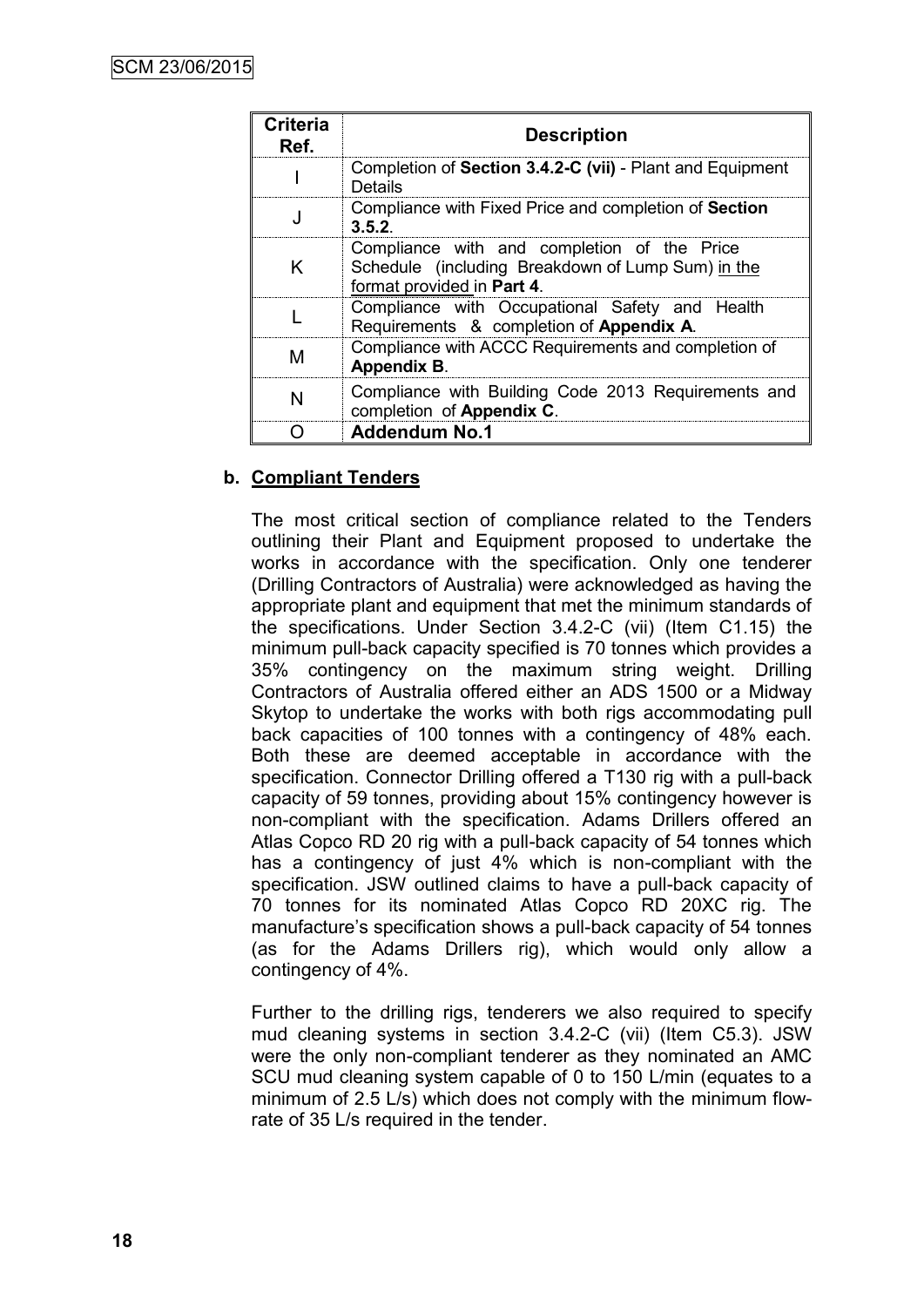| <b>Criteria</b><br>Ref. | <b>Description</b>                                                                                                             |  |
|-------------------------|--------------------------------------------------------------------------------------------------------------------------------|--|
|                         | Completion of Section 3.4.2-C (vii) - Plant and Equipment<br>Details                                                           |  |
|                         | Compliance with Fixed Price and completion of Section<br>3.5.2                                                                 |  |
| Κ                       | Compliance with and completion of the Price<br>Schedule (including Breakdown of Lump Sum) in the<br>format provided in Part 4. |  |
|                         | Compliance with Occupational Safety and Health<br>Requirements & completion of Appendix A.                                     |  |
| М                       | Compliance with ACCC Requirements and completion of<br><b>Appendix B.</b>                                                      |  |
| N                       | Compliance with Building Code 2013 Requirements and<br>completion of Appendix C.                                               |  |
|                         | <b>Addendum No.1</b>                                                                                                           |  |

# **b. Compliant Tenders**

The most critical section of compliance related to the Tenders outlining their Plant and Equipment proposed to undertake the works in accordance with the specification. Only one tenderer (Drilling Contractors of Australia) were acknowledged as having the appropriate plant and equipment that met the minimum standards of the specifications. Under Section 3.4.2-C (vii) (Item C1.15) the minimum pull-back capacity specified is 70 tonnes which provides a 35% contingency on the maximum string weight. Drilling Contractors of Australia offered either an ADS 1500 or a Midway Skytop to undertake the works with both rigs accommodating pull back capacities of 100 tonnes with a contingency of 48% each. Both these are deemed acceptable in accordance with the specification. Connector Drilling offered a T130 rig with a pull-back capacity of 59 tonnes, providing about 15% contingency however is non-compliant with the specification. Adams Drillers offered an Atlas Copco RD 20 rig with a pull-back capacity of 54 tonnes which has a contingency of just 4% which is non-compliant with the specification. JSW outlined claims to have a pull-back capacity of 70 tonnes for its nominated Atlas Copco RD 20XC rig. The manufacture's specification shows a pull-back capacity of 54 tonnes (as for the Adams Drillers rig), which would only allow a contingency of 4%.

Further to the drilling rigs, tenderers we also required to specify mud cleaning systems in section 3.4.2-C (vii) (Item C5.3). JSW were the only non-compliant tenderer as they nominated an AMC SCU mud cleaning system capable of 0 to 150 L/min (equates to a minimum of 2.5 L/s) which does not comply with the minimum flowrate of 35 L/s required in the tender.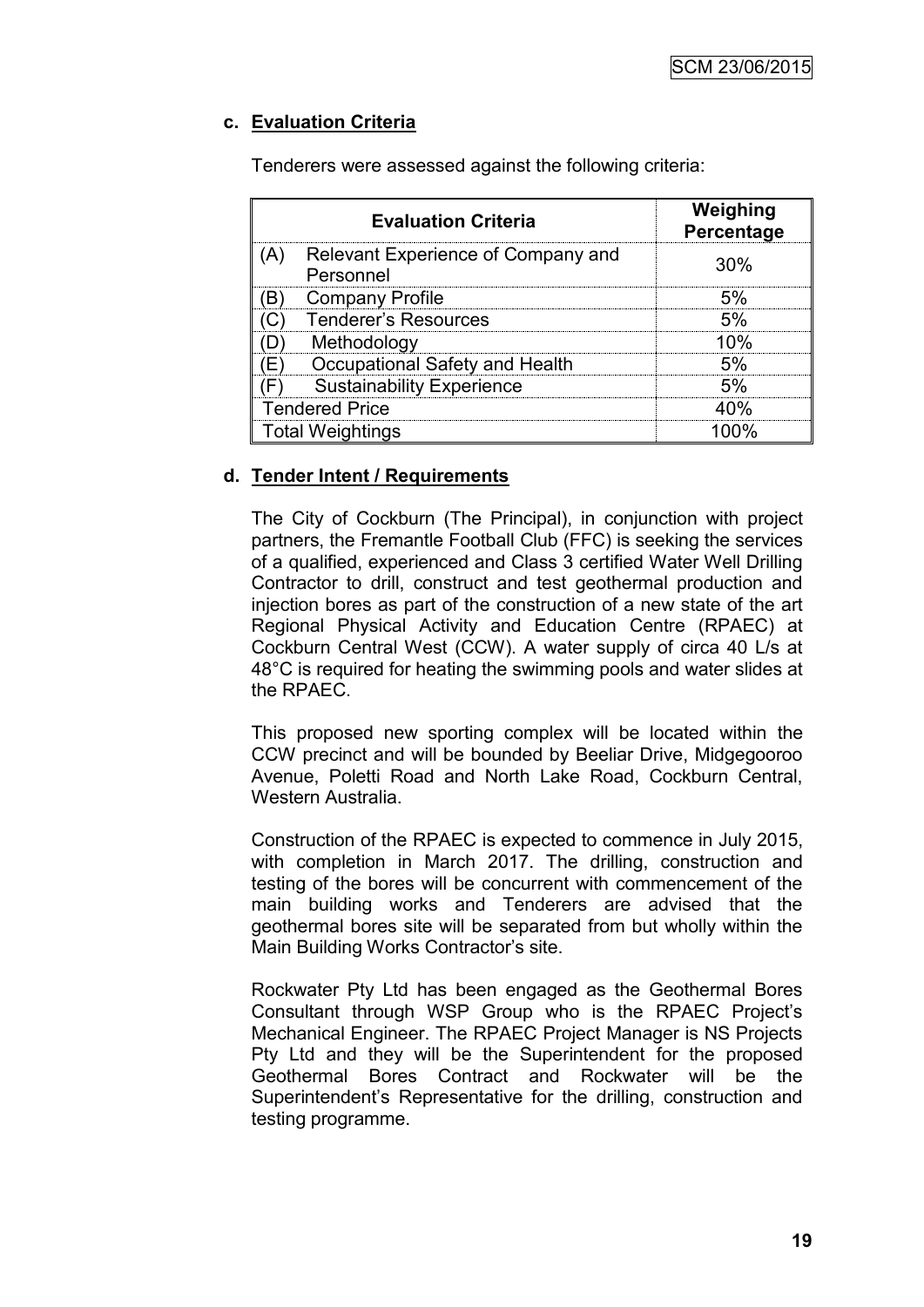# **c. Evaluation Criteria**

Tenderers were assessed against the following criteria:

|                         | <b>Evaluation Criteria</b>                      | Weighing<br>Percentage |  |
|-------------------------|-------------------------------------------------|------------------------|--|
|                         | Relevant Experience of Company and<br>Personnel | 30%                    |  |
|                         | <b>Company Profile</b>                          |                        |  |
|                         | <b>Tenderer's Resources</b>                     | .5%                    |  |
|                         | Methodology                                     | n%                     |  |
|                         | Occupational Safety and Health                  | 5%                     |  |
|                         | <b>Sustainability Experience</b>                |                        |  |
| <b>Tendered Price</b>   |                                                 |                        |  |
| <b>Total Weightings</b> |                                                 |                        |  |

# **d. Tender Intent / Requirements**

The City of Cockburn (The Principal), in conjunction with project partners, the Fremantle Football Club (FFC) is seeking the services of a qualified, experienced and Class 3 certified Water Well Drilling Contractor to drill, construct and test geothermal production and injection bores as part of the construction of a new state of the art Regional Physical Activity and Education Centre (RPAEC) at Cockburn Central West (CCW). A water supply of circa 40 L/s at 48°C is required for heating the swimming pools and water slides at the RPAEC.

This proposed new sporting complex will be located within the CCW precinct and will be bounded by Beeliar Drive, Midgegooroo Avenue, Poletti Road and North Lake Road, Cockburn Central, Western Australia.

Construction of the RPAEC is expected to commence in July 2015, with completion in March 2017. The drilling, construction and testing of the bores will be concurrent with commencement of the main building works and Tenderers are advised that the geothermal bores site will be separated from but wholly within the Main Building Works Contractor's site.

Rockwater Pty Ltd has been engaged as the Geothermal Bores Consultant through WSP Group who is the RPAEC Project's Mechanical Engineer. The RPAEC Project Manager is NS Projects Pty Ltd and they will be the Superintendent for the proposed Geothermal Bores Contract and Rockwater will be the Superintendent's Representative for the drilling, construction and testing programme.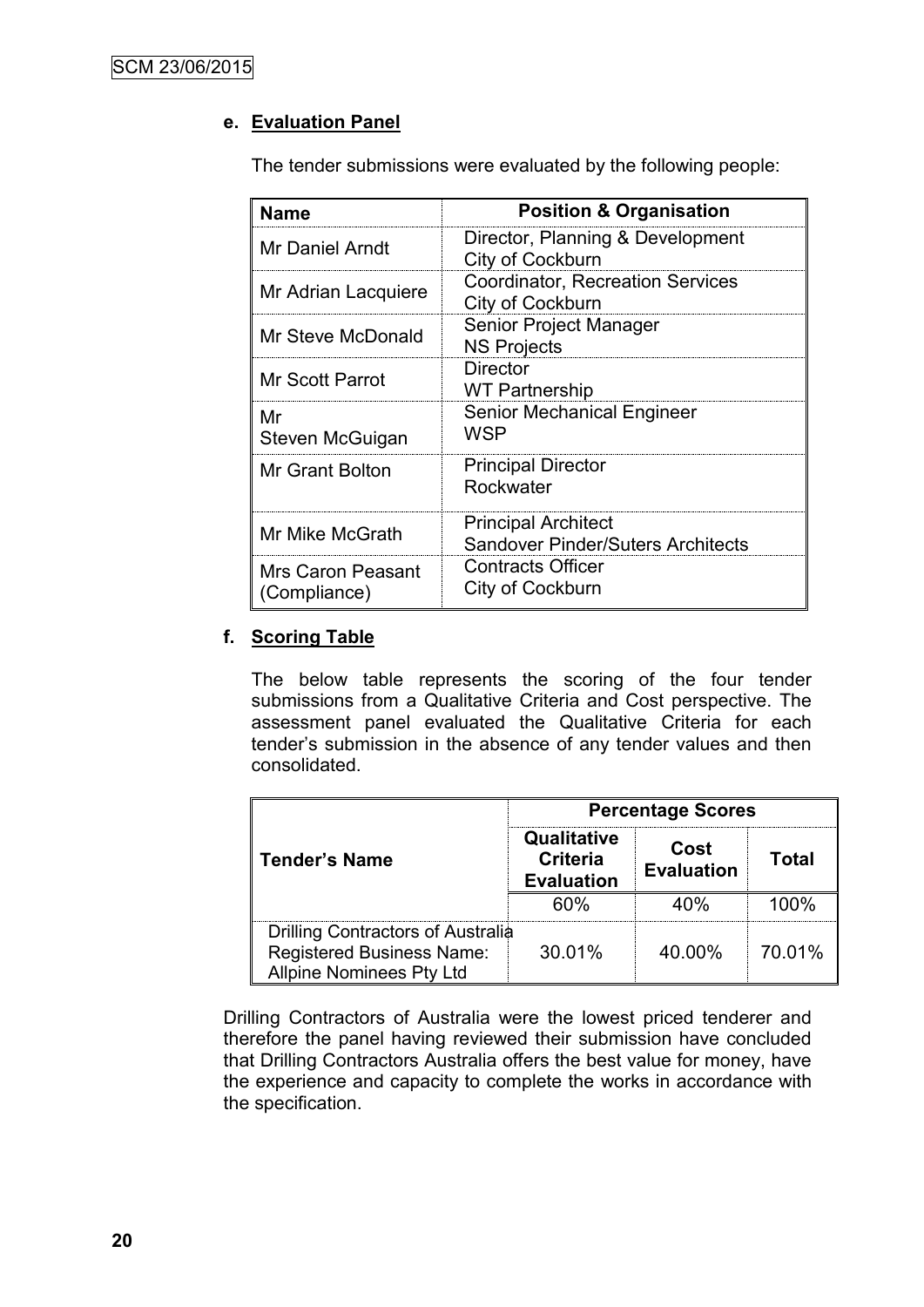# **e. Evaluation Panel**

The tender submissions were evaluated by the following people:

| <b>Name</b>                       | <b>Position &amp; Organisation</b>                                     |  |  |
|-----------------------------------|------------------------------------------------------------------------|--|--|
| Mr Daniel Arndt                   | Director, Planning & Development<br>City of Cockburn                   |  |  |
| Mr Adrian Lacquiere               | <b>Coordinator, Recreation Services</b><br>City of Cockburn            |  |  |
| Mr Steve McDonald                 | Senior Project Manager<br><b>NS Projects</b>                           |  |  |
| <b>Mr Scott Parrot</b>            | <b>Director</b><br><b>WT Partnership</b>                               |  |  |
| Mr<br>Steven McGuigan             | <b>Senior Mechanical Engineer</b><br>WSP                               |  |  |
| Mr Grant Bolton                   | <b>Principal Director</b><br>Rockwater                                 |  |  |
| Mr Mike McGrath                   | <b>Principal Architect</b><br><b>Sandover Pinder/Suters Architects</b> |  |  |
| Mrs Caron Peasant<br>(Compliance) | <b>Contracts Officer</b><br>City of Cockburn                           |  |  |

# **f. Scoring Table**

The below table represents the scoring of the four tender submissions from a Qualitative Criteria and Cost perspective. The assessment panel evaluated the Qualitative Criteria for each tender's submission in the absence of any tender values and then consolidated.

|                                                                                                   | <b>Percentage Scores</b>                            |                           |        |  |
|---------------------------------------------------------------------------------------------------|-----------------------------------------------------|---------------------------|--------|--|
| <b>Tender's Name</b>                                                                              | Qualitative<br><b>Criteria</b><br><b>Evaluation</b> | Cost<br><b>Evaluation</b> | Total  |  |
|                                                                                                   | 60%                                                 | 40%                       | 100%   |  |
| Drilling Contractors of Australia<br>Registered Business Name:<br><b>Allpine Nominees Pty Ltd</b> | 30.01%                                              | 40.00%                    | 70.01% |  |

Drilling Contractors of Australia were the lowest priced tenderer and therefore the panel having reviewed their submission have concluded that Drilling Contractors Australia offers the best value for money, have the experience and capacity to complete the works in accordance with the specification.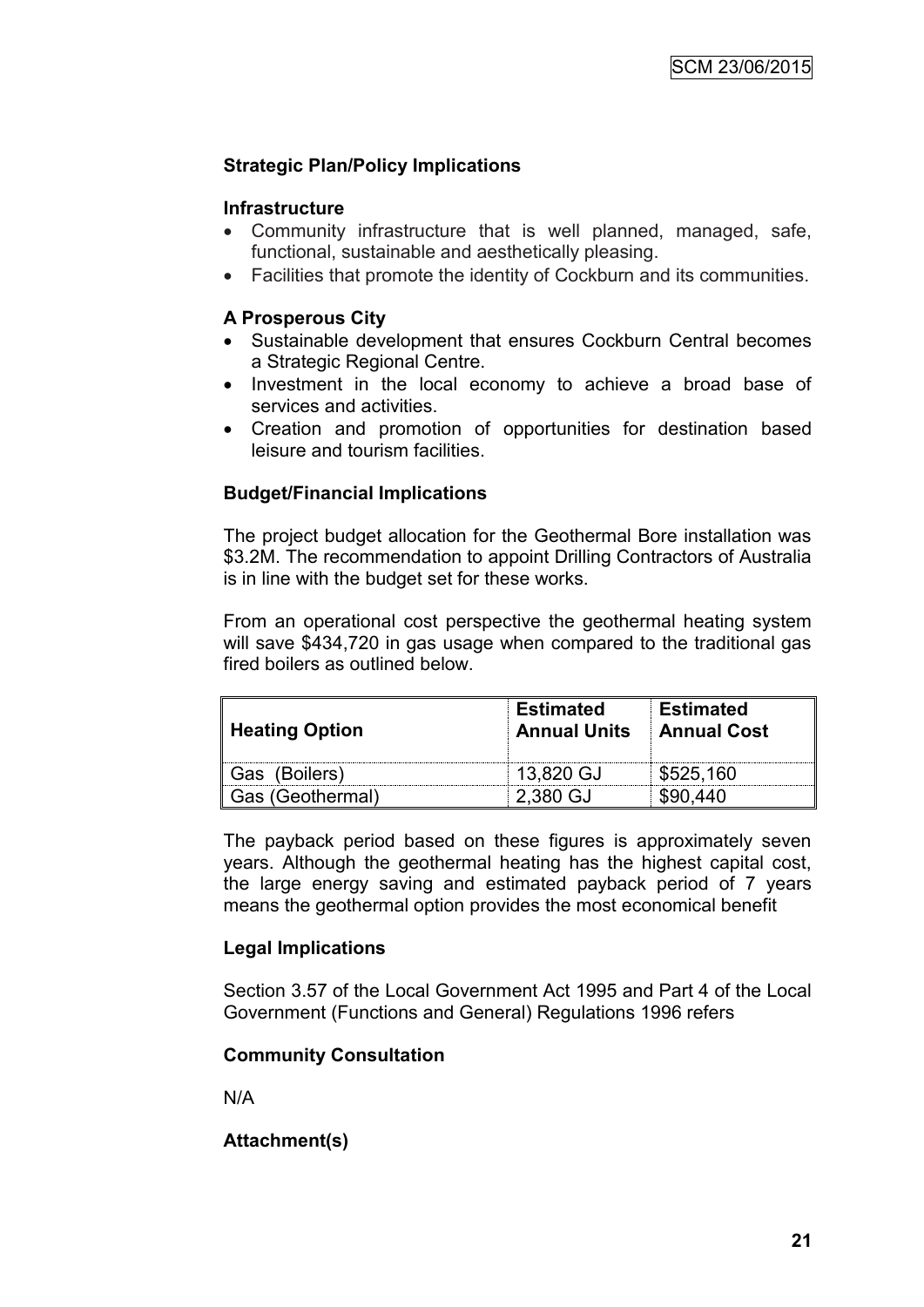# **Strategic Plan/Policy Implications**

#### **Infrastructure**

- Community infrastructure that is well planned, managed, safe, functional, sustainable and aesthetically pleasing.
- Facilities that promote the identity of Cockburn and its communities.

### **A Prosperous City**

- Sustainable development that ensures Cockburn Central becomes a Strategic Regional Centre.
- Investment in the local economy to achieve a broad base of services and activities.
- Creation and promotion of opportunities for destination based leisure and tourism facilities.

#### **Budget/Financial Implications**

The project budget allocation for the Geothermal Bore installation was \$3.2M. The recommendation to appoint Drilling Contractors of Australia is in line with the budget set for these works.

From an operational cost perspective the geothermal heating system will save \$434,720 in gas usage when compared to the traditional gas fired boilers as outlined below

| ∥ Heating Option | <b>Estimated</b><br><b>Annual Units</b> | <b>Estimated</b><br><b>Annual Cost</b> |
|------------------|-----------------------------------------|----------------------------------------|
| Gas (Boilers)    | 13,820 GJ                               | \$525,160                              |
| Gas (Geothermal) | 2,380 GJ                                | \$90.440                               |

The payback period based on these figures is approximately seven years. Although the geothermal heating has the highest capital cost, the large energy saving and estimated payback period of 7 years means the geothermal option provides the most economical benefit

#### **Legal Implications**

Section 3.57 of the Local Government Act 1995 and Part 4 of the Local Government (Functions and General) Regulations 1996 refers

#### **Community Consultation**

N/A

#### **Attachment(s)**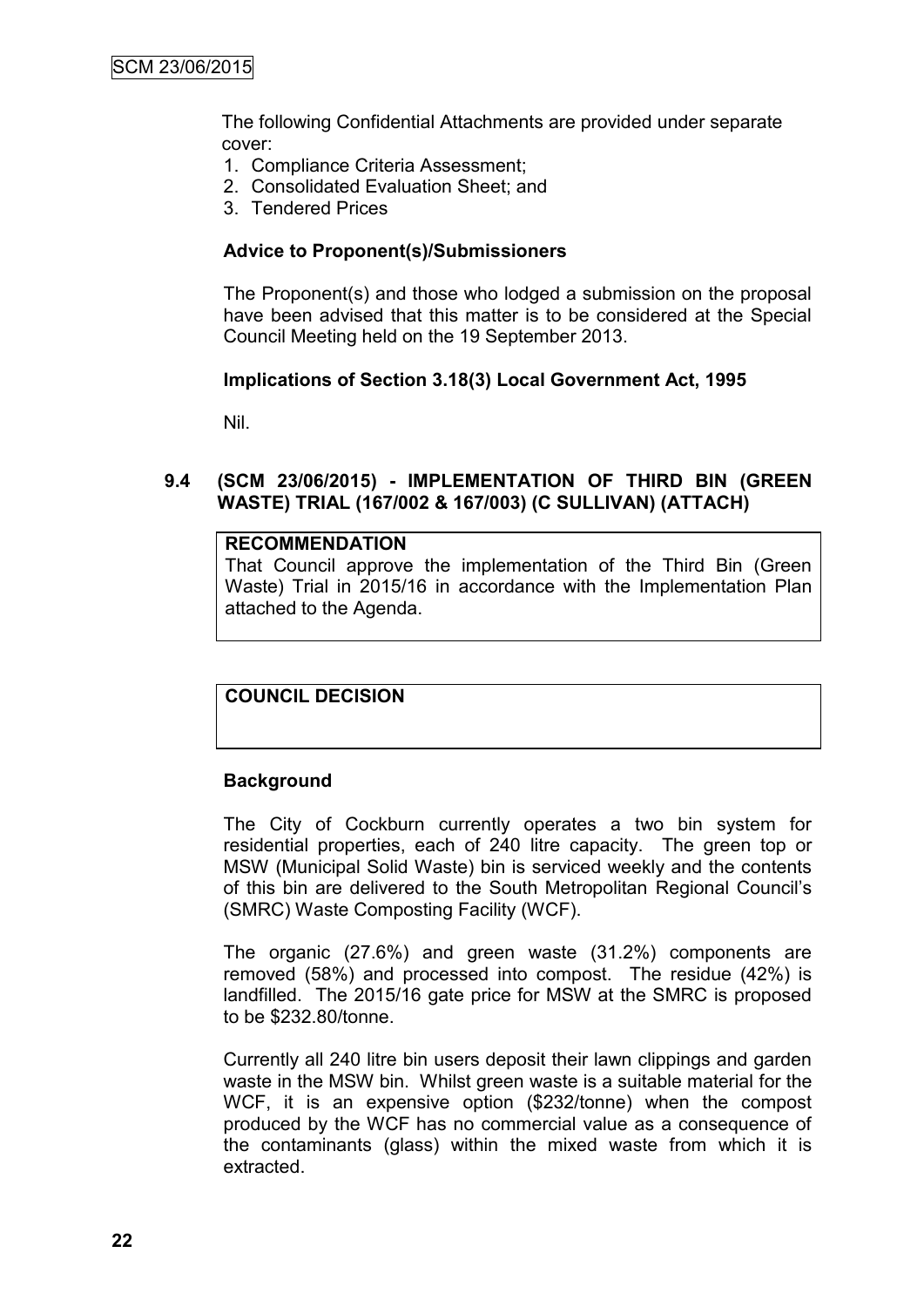The following Confidential Attachments are provided under separate cover:

- 1. Compliance Criteria Assessment;
- 2. Consolidated Evaluation Sheet; and
- 3. Tendered Prices

#### **Advice to Proponent(s)/Submissioners**

The Proponent(s) and those who lodged a submission on the proposal have been advised that this matter is to be considered at the Special Council Meeting held on the 19 September 2013.

#### **Implications of Section 3.18(3) Local Government Act, 1995**

Nil.

### **9.4 (SCM 23/06/2015) - IMPLEMENTATION OF THIRD BIN (GREEN WASTE) TRIAL (167/002 & 167/003) (C SULLIVAN) (ATTACH)**

#### **RECOMMENDATION**

That Council approve the implementation of the Third Bin (Green Waste) Trial in 2015/16 in accordance with the Implementation Plan attached to the Agenda.

# **COUNCIL DECISION**

#### **Background**

The City of Cockburn currently operates a two bin system for residential properties, each of 240 litre capacity. The green top or MSW (Municipal Solid Waste) bin is serviced weekly and the contents of this bin are delivered to the South Metropolitan Regional Council's (SMRC) Waste Composting Facility (WCF).

The organic (27.6%) and green waste (31.2%) components are removed (58%) and processed into compost. The residue (42%) is landfilled. The 2015/16 gate price for MSW at the SMRC is proposed to be \$232.80/tonne.

Currently all 240 litre bin users deposit their lawn clippings and garden waste in the MSW bin. Whilst green waste is a suitable material for the WCF, it is an expensive option (\$232/tonne) when the compost produced by the WCF has no commercial value as a consequence of the contaminants (glass) within the mixed waste from which it is extracted.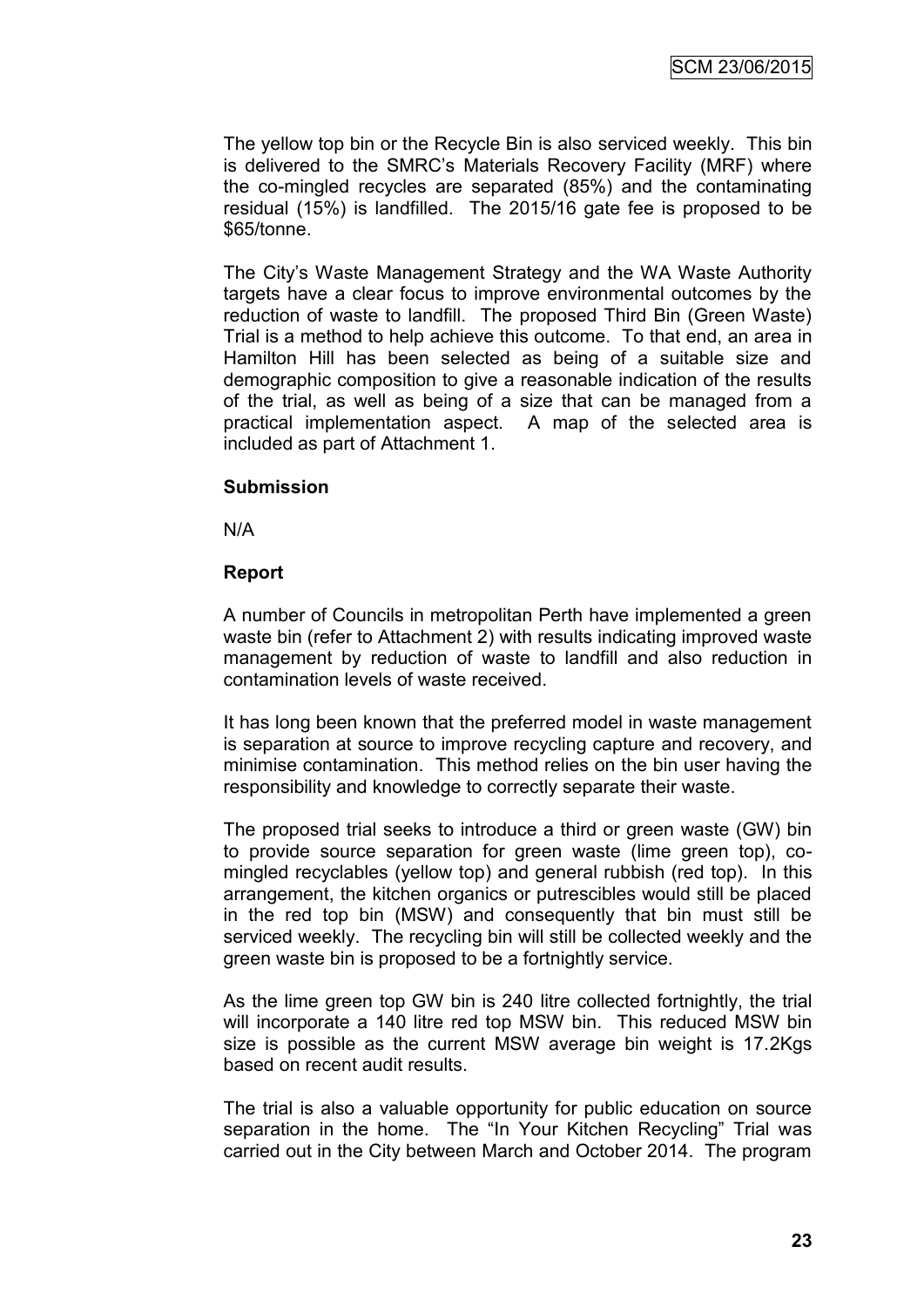The yellow top bin or the Recycle Bin is also serviced weekly. This bin is delivered to the SMRC's Materials Recovery Facility (MRF) where the co-mingled recycles are separated (85%) and the contaminating residual (15%) is landfilled. The 2015/16 gate fee is proposed to be \$65/tonne.

The City's Waste Management Strategy and the WA Waste Authority targets have a clear focus to improve environmental outcomes by the reduction of waste to landfill. The proposed Third Bin (Green Waste) Trial is a method to help achieve this outcome. To that end, an area in Hamilton Hill has been selected as being of a suitable size and demographic composition to give a reasonable indication of the results of the trial, as well as being of a size that can be managed from a practical implementation aspect. A map of the selected area is included as part of Attachment 1.

#### **Submission**

N/A

#### **Report**

A number of Councils in metropolitan Perth have implemented a green waste bin (refer to Attachment 2) with results indicating improved waste management by reduction of waste to landfill and also reduction in contamination levels of waste received.

It has long been known that the preferred model in waste management is separation at source to improve recycling capture and recovery, and minimise contamination. This method relies on the bin user having the responsibility and knowledge to correctly separate their waste.

The proposed trial seeks to introduce a third or green waste (GW) bin to provide source separation for green waste (lime green top), comingled recyclables (yellow top) and general rubbish (red top). In this arrangement, the kitchen organics or putrescibles would still be placed in the red top bin (MSW) and consequently that bin must still be serviced weekly. The recycling bin will still be collected weekly and the green waste bin is proposed to be a fortnightly service.

As the lime green top GW bin is 240 litre collected fortnightly, the trial will incorporate a 140 litre red top MSW bin. This reduced MSW bin size is possible as the current MSW average bin weight is 17.2Kgs based on recent audit results.

The trial is also a valuable opportunity for public education on source separation in the home. The "In Your Kitchen Recycling" Trial was carried out in the City between March and October 2014. The program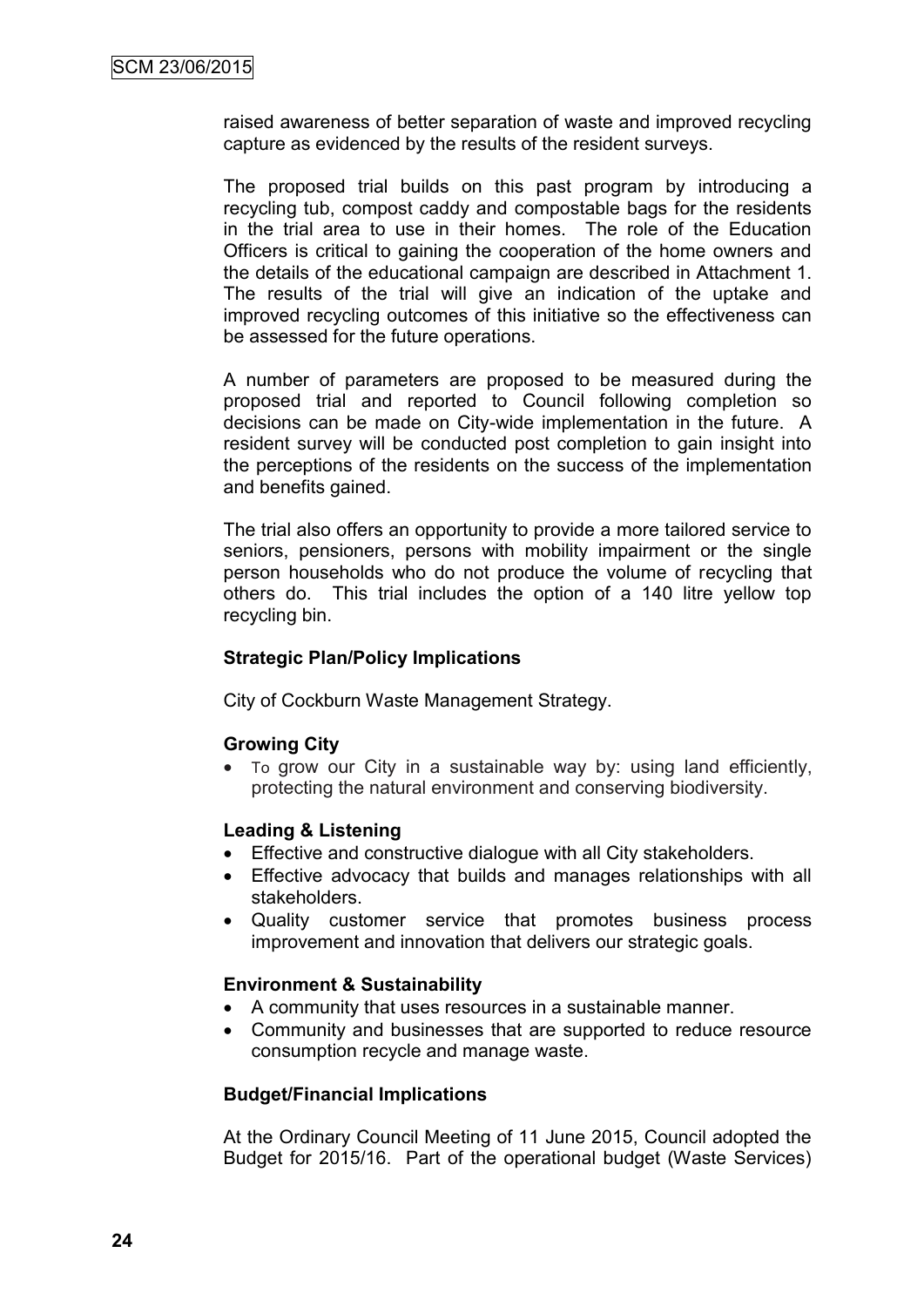raised awareness of better separation of waste and improved recycling capture as evidenced by the results of the resident surveys.

The proposed trial builds on this past program by introducing a recycling tub, compost caddy and compostable bags for the residents in the trial area to use in their homes. The role of the Education Officers is critical to gaining the cooperation of the home owners and the details of the educational campaign are described in Attachment 1. The results of the trial will give an indication of the uptake and improved recycling outcomes of this initiative so the effectiveness can be assessed for the future operations.

A number of parameters are proposed to be measured during the proposed trial and reported to Council following completion so decisions can be made on City-wide implementation in the future. A resident survey will be conducted post completion to gain insight into the perceptions of the residents on the success of the implementation and benefits gained.

The trial also offers an opportunity to provide a more tailored service to seniors, pensioners, persons with mobility impairment or the single person households who do not produce the volume of recycling that others do. This trial includes the option of a 140 litre yellow top recycling bin.

#### **Strategic Plan/Policy Implications**

City of Cockburn Waste Management Strategy.

#### **Growing City**

 To grow our City in a sustainable way by: using land efficiently, protecting the natural environment and conserving biodiversity.

#### **Leading & Listening**

- Effective and constructive dialogue with all City stakeholders.
- Effective advocacy that builds and manages relationships with all stakeholders.
- Quality customer service that promotes business process improvement and innovation that delivers our strategic goals.

#### **Environment & Sustainability**

- A community that uses resources in a sustainable manner.
- Community and businesses that are supported to reduce resource consumption recycle and manage waste.

#### **Budget/Financial Implications**

At the Ordinary Council Meeting of 11 June 2015, Council adopted the Budget for 2015/16. Part of the operational budget (Waste Services)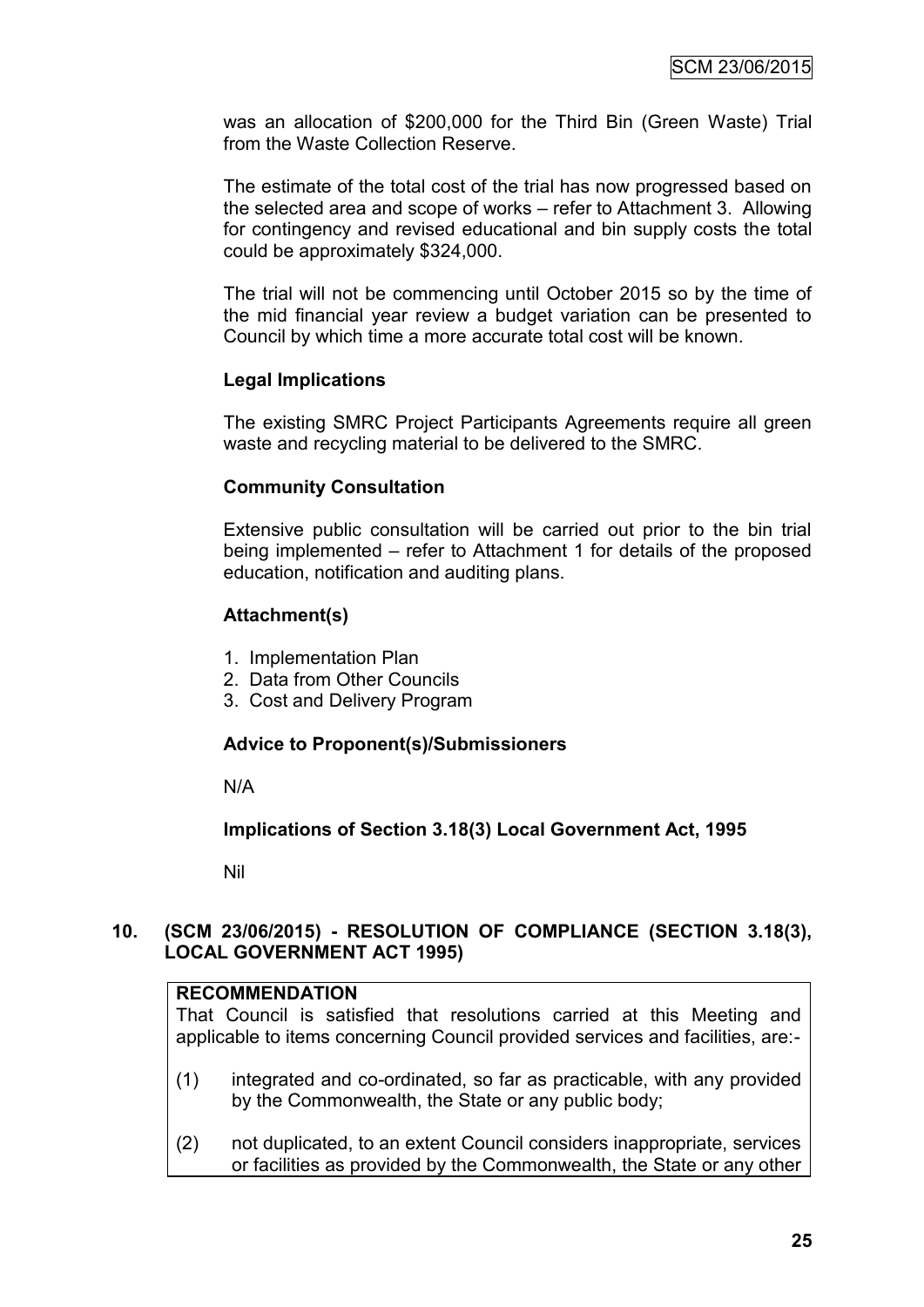was an allocation of \$200,000 for the Third Bin (Green Waste) Trial from the Waste Collection Reserve.

The estimate of the total cost of the trial has now progressed based on the selected area and scope of works – refer to Attachment 3. Allowing for contingency and revised educational and bin supply costs the total could be approximately \$324,000.

The trial will not be commencing until October 2015 so by the time of the mid financial year review a budget variation can be presented to Council by which time a more accurate total cost will be known.

#### **Legal Implications**

The existing SMRC Project Participants Agreements require all green waste and recycling material to be delivered to the SMRC.

#### **Community Consultation**

Extensive public consultation will be carried out prior to the bin trial being implemented – refer to Attachment 1 for details of the proposed education, notification and auditing plans.

#### **Attachment(s)**

- 1. Implementation Plan
- 2. Data from Other Councils
- 3. Cost and Delivery Program

#### **Advice to Proponent(s)/Submissioners**

N/A

**Implications of Section 3.18(3) Local Government Act, 1995**

Nil

#### **10. (SCM 23/06/2015) - RESOLUTION OF COMPLIANCE (SECTION 3.18(3), LOCAL GOVERNMENT ACT 1995)**

#### **RECOMMENDATION**

That Council is satisfied that resolutions carried at this Meeting and applicable to items concerning Council provided services and facilities, are:-

- (1) integrated and co-ordinated, so far as practicable, with any provided by the Commonwealth, the State or any public body;
- (2) not duplicated, to an extent Council considers inappropriate, services or facilities as provided by the Commonwealth, the State or any other